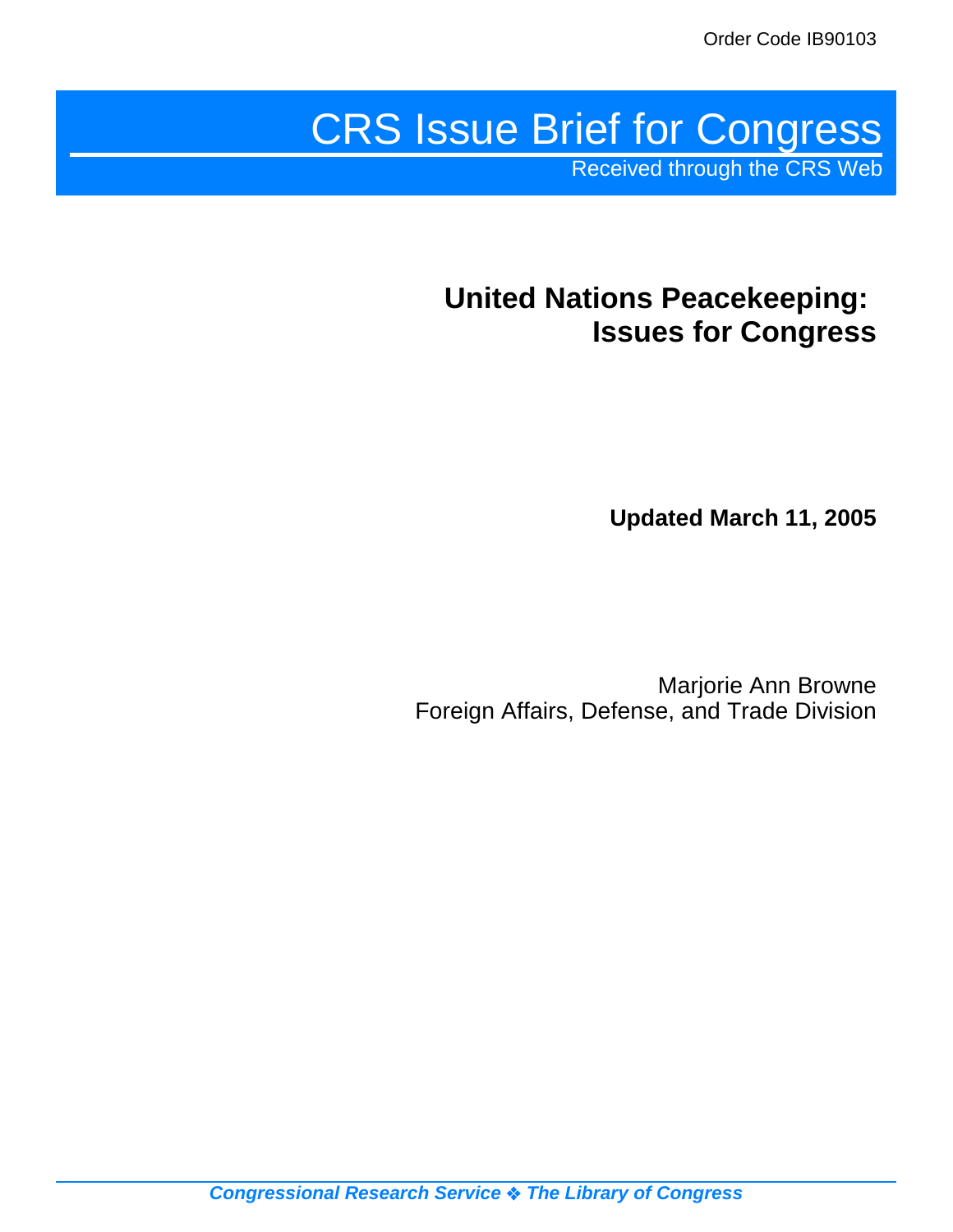# CRS Issue Brief for Congress

Received through the CRS Web

# **United Nations Peacekeeping: Issues for Congress**

**Updated March 11, 2005**

Marjorie Ann Browne Foreign Affairs, Defense, and Trade Division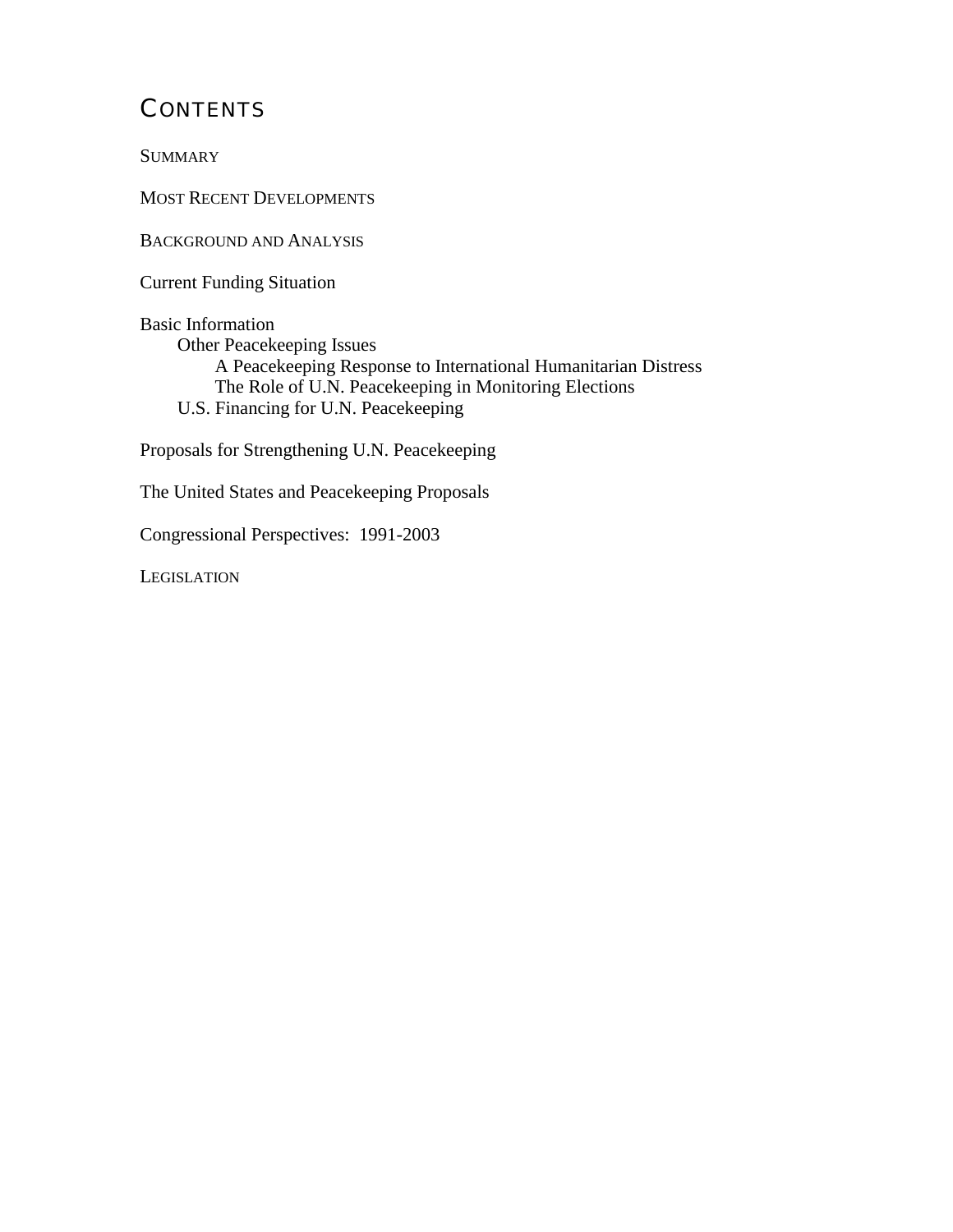### **CONTENTS**

**SUMMARY** 

MOST RECENT DEVELOPMENTS

BACKGROUND AND ANALYSIS

Current Funding Situation

Basic Information Other Peacekeeping Issues A Peacekeeping Response to International Humanitarian Distress The Role of U.N. Peacekeeping in Monitoring Elections U.S. Financing for U.N. Peacekeeping

Proposals for Strengthening U.N. Peacekeeping

The United States and Peacekeeping Proposals

Congressional Perspectives: 1991-2003

**LEGISLATION**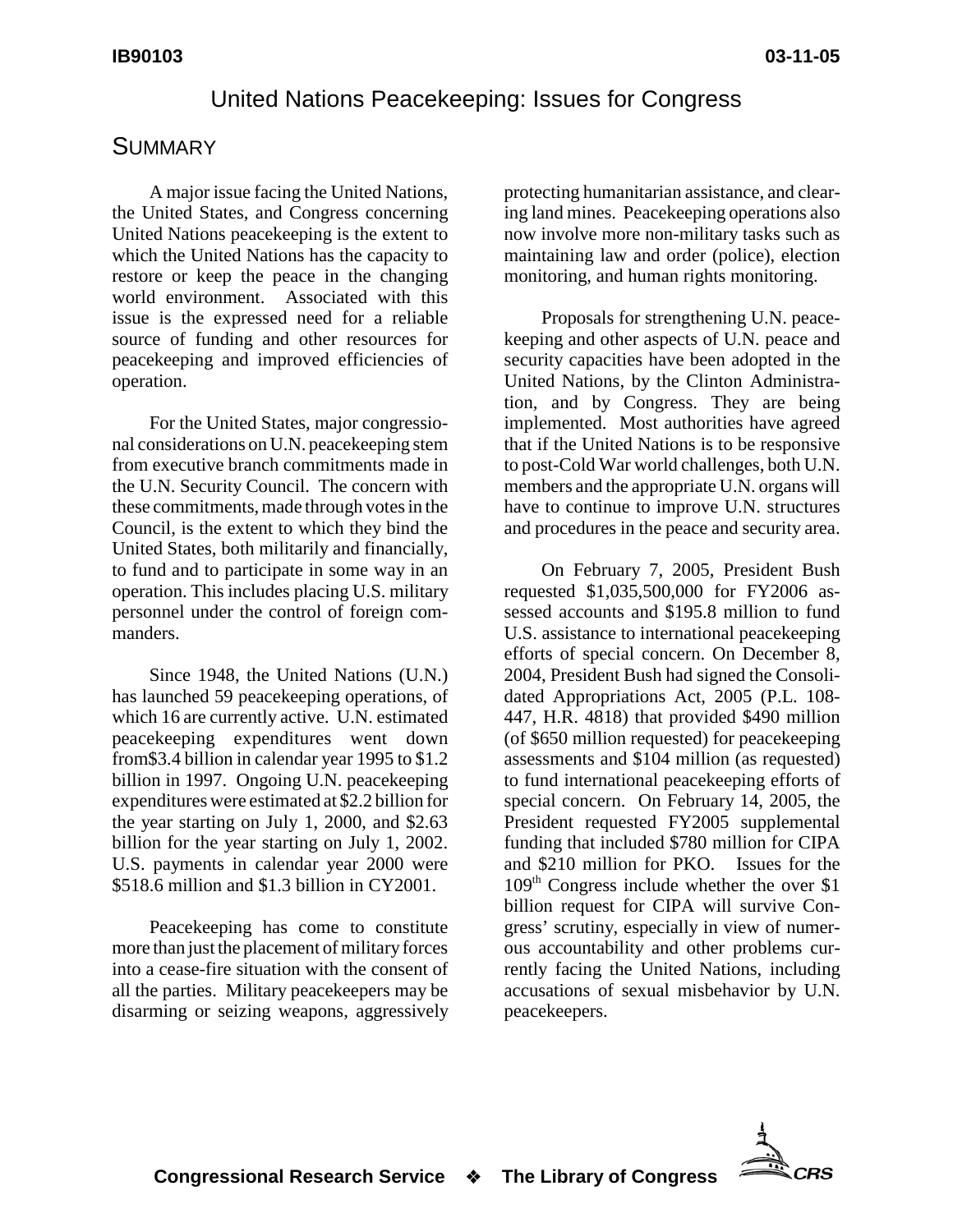#### United Nations Peacekeeping: Issues for Congress

#### **SUMMARY**

A major issue facing the United Nations, the United States, and Congress concerning United Nations peacekeeping is the extent to which the United Nations has the capacity to restore or keep the peace in the changing world environment. Associated with this issue is the expressed need for a reliable source of funding and other resources for peacekeeping and improved efficiencies of operation.

For the United States, major congressional considerations on U.N. peacekeeping stem from executive branch commitments made in the U.N. Security Council. The concern with these commitments, made through votes in the Council, is the extent to which they bind the United States, both militarily and financially, to fund and to participate in some way in an operation. This includes placing U.S. military personnel under the control of foreign commanders.

Since 1948, the United Nations (U.N.) has launched 59 peacekeeping operations, of which 16 are currently active. U.N. estimated peacekeeping expenditures went down from\$3.4 billion in calendar year 1995 to \$1.2 billion in 1997. Ongoing U.N. peacekeeping expenditures were estimated at \$2.2 billion for the year starting on July 1, 2000, and \$2.63 billion for the year starting on July 1, 2002. U.S. payments in calendar year 2000 were \$518.6 million and \$1.3 billion in CY2001.

Peacekeeping has come to constitute more than just the placement of military forces into a cease-fire situation with the consent of all the parties. Military peacekeepers may be disarming or seizing weapons, aggressively

protecting humanitarian assistance, and clearing land mines. Peacekeeping operations also now involve more non-military tasks such as maintaining law and order (police), election monitoring, and human rights monitoring.

Proposals for strengthening U.N. peacekeeping and other aspects of U.N. peace and security capacities have been adopted in the United Nations, by the Clinton Administration, and by Congress. They are being implemented. Most authorities have agreed that if the United Nations is to be responsive to post-Cold War world challenges, both U.N. members and the appropriate U.N. organs will have to continue to improve U.N. structures and procedures in the peace and security area.

On February 7, 2005, President Bush requested \$1,035,500,000 for FY2006 assessed accounts and \$195.8 million to fund U.S. assistance to international peacekeeping efforts of special concern. On December 8, 2004, President Bush had signed the Consolidated Appropriations Act, 2005 (P.L. 108- 447, H.R. 4818) that provided \$490 million (of \$650 million requested) for peacekeeping assessments and \$104 million (as requested) to fund international peacekeeping efforts of special concern. On February 14, 2005, the President requested FY2005 supplemental funding that included \$780 million for CIPA and \$210 million for PKO. Issues for the  $109<sup>th</sup>$  Congress include whether the over \$1 billion request for CIPA will survive Congress' scrutiny, especially in view of numerous accountability and other problems currently facing the United Nations, including accusations of sexual misbehavior by U.N. peacekeepers.

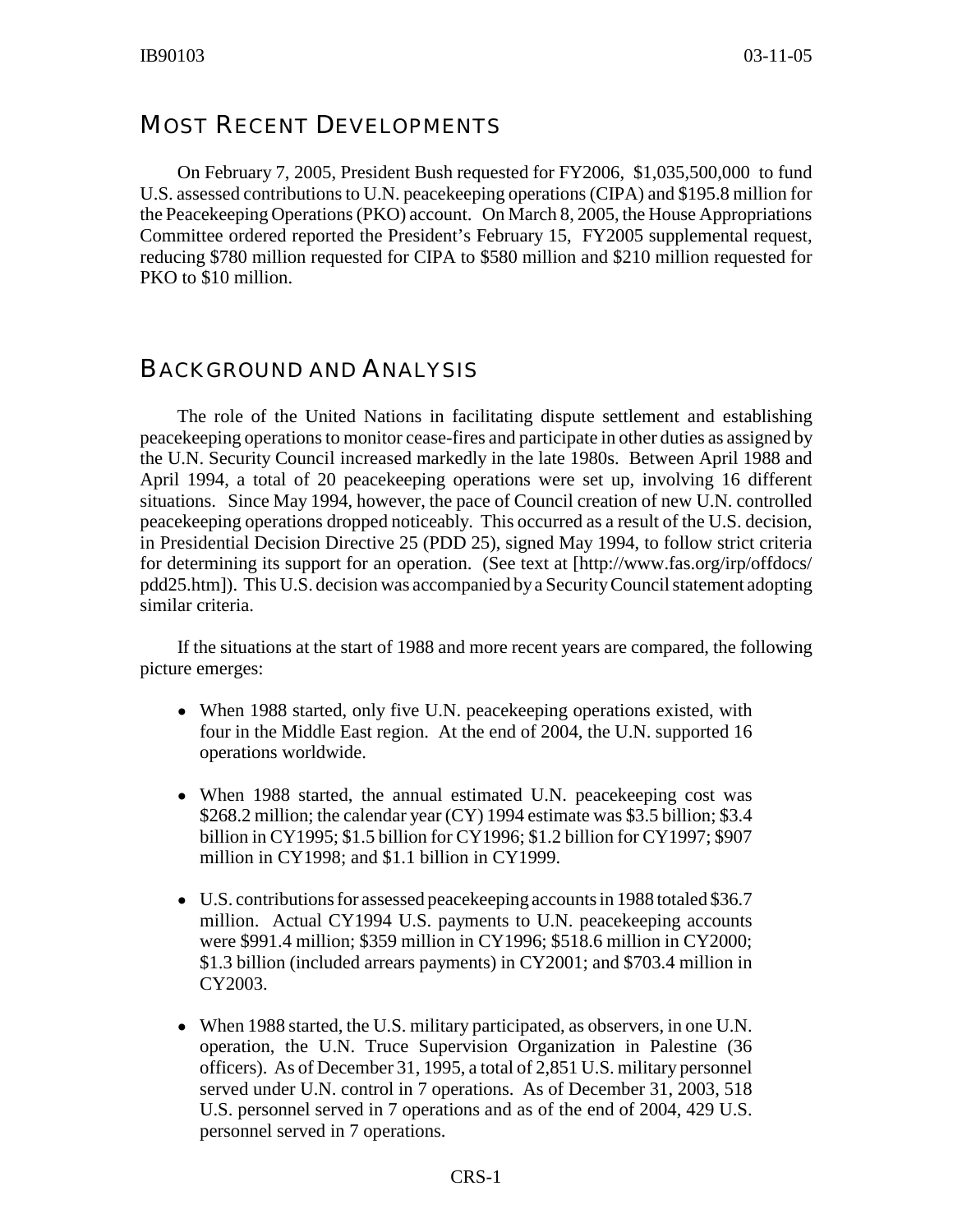#### MOST RECENT DEVELOPMENTS

On February 7, 2005, President Bush requested for FY2006, \$1,035,500,000 to fund U.S. assessed contributions to U.N. peacekeeping operations (CIPA) and \$195.8 million for the Peacekeeping Operations (PKO) account. On March 8, 2005, the House Appropriations Committee ordered reported the President's February 15, FY2005 supplemental request, reducing \$780 million requested for CIPA to \$580 million and \$210 million requested for PKO to \$10 million.

#### BACKGROUND AND ANALYSIS

The role of the United Nations in facilitating dispute settlement and establishing peacekeeping operations to monitor cease-fires and participate in other duties as assigned by the U.N. Security Council increased markedly in the late 1980s. Between April 1988 and April 1994, a total of 20 peacekeeping operations were set up, involving 16 different situations. Since May 1994, however, the pace of Council creation of new U.N. controlled peacekeeping operations dropped noticeably. This occurred as a result of the U.S. decision, in Presidential Decision Directive 25 (PDD 25), signed May 1994, to follow strict criteria for determining its support for an operation. (See text at [http://www.fas.org/irp/offdocs/ pdd25.htm]). This U.S. decision was accompanied by a Security Council statement adopting similar criteria.

If the situations at the start of 1988 and more recent years are compared, the following picture emerges:

- When 1988 started, only five U.N. peacekeeping operations existed, with four in the Middle East region. At the end of 2004, the U.N. supported 16 operations worldwide.
- When 1988 started, the annual estimated U.N. peacekeeping cost was \$268.2 million; the calendar year (CY) 1994 estimate was \$3.5 billion; \$3.4 billion in CY1995; \$1.5 billion for CY1996; \$1.2 billion for CY1997; \$907 million in CY1998; and \$1.1 billion in CY1999.
- U.S. contributions for assessed peacekeeping accounts in 1988 totaled \$36.7 million. Actual CY1994 U.S. payments to U.N. peacekeeping accounts were \$991.4 million; \$359 million in CY1996; \$518.6 million in CY2000; \$1.3 billion (included arrears payments) in CY2001; and \$703.4 million in CY2003.
- When 1988 started, the U.S. military participated, as observers, in one U.N. operation, the U.N. Truce Supervision Organization in Palestine (36 officers). As of December 31, 1995, a total of 2,851 U.S. military personnel served under U.N. control in 7 operations. As of December 31, 2003, 518 U.S. personnel served in 7 operations and as of the end of 2004, 429 U.S. personnel served in 7 operations.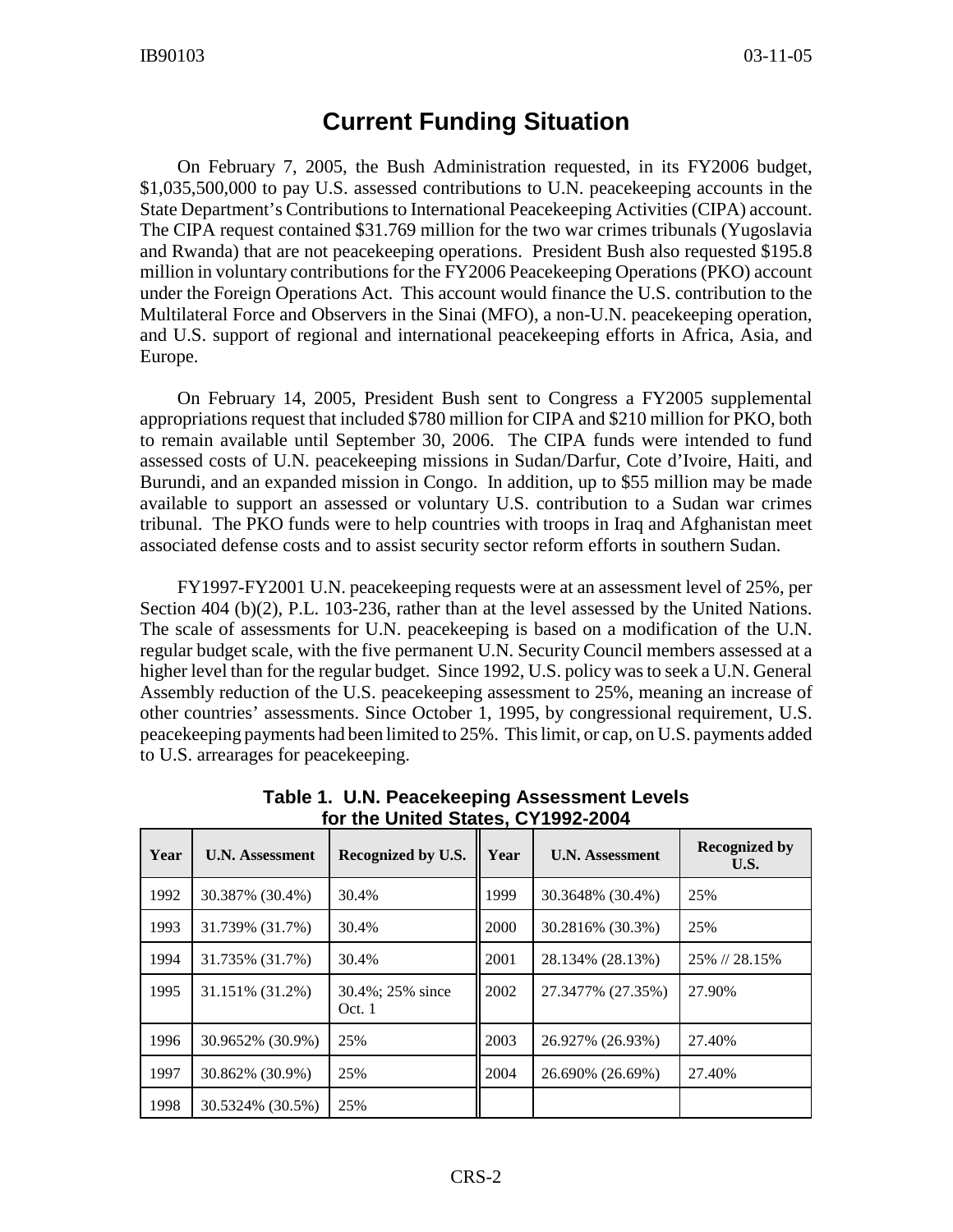#### **Current Funding Situation**

On February 7, 2005, the Bush Administration requested, in its FY2006 budget, \$1,035,500,000 to pay U.S. assessed contributions to U.N. peacekeeping accounts in the State Department's Contributions to International Peacekeeping Activities (CIPA) account. The CIPA request contained \$31.769 million for the two war crimes tribunals (Yugoslavia and Rwanda) that are not peacekeeping operations. President Bush also requested \$195.8 million in voluntary contributions for the FY2006 Peacekeeping Operations (PKO) account under the Foreign Operations Act. This account would finance the U.S. contribution to the Multilateral Force and Observers in the Sinai (MFO), a non-U.N. peacekeeping operation, and U.S. support of regional and international peacekeeping efforts in Africa, Asia, and Europe.

On February 14, 2005, President Bush sent to Congress a FY2005 supplemental appropriations request that included \$780 million for CIPA and \$210 million for PKO, both to remain available until September 30, 2006. The CIPA funds were intended to fund assessed costs of U.N. peacekeeping missions in Sudan/Darfur, Cote d'Ivoire, Haiti, and Burundi, and an expanded mission in Congo. In addition, up to \$55 million may be made available to support an assessed or voluntary U.S. contribution to a Sudan war crimes tribunal. The PKO funds were to help countries with troops in Iraq and Afghanistan meet associated defense costs and to assist security sector reform efforts in southern Sudan.

FY1997-FY2001 U.N. peacekeeping requests were at an assessment level of 25%, per Section 404 (b)(2), P.L. 103-236, rather than at the level assessed by the United Nations. The scale of assessments for U.N. peacekeeping is based on a modification of the U.N. regular budget scale, with the five permanent U.N. Security Council members assessed at a higher level than for the regular budget. Since 1992, U.S. policy was to seek a U.N. General Assembly reduction of the U.S. peacekeeping assessment to 25%, meaning an increase of other countries' assessments. Since October 1, 1995, by congressional requirement, U.S. peacekeeping payments had been limited to 25%. This limit, or cap, on U.S. payments added to U.S. arrearages for peacekeeping.

| Year | <b>U.N. Assessment</b> | Recognized by U.S.         | Year | <b>U.N. Assessment</b> | <b>Recognized by</b><br>U.S. |
|------|------------------------|----------------------------|------|------------------------|------------------------------|
| 1992 | 30.387% (30.4%)        | 30.4%                      | 1999 | 30.3648% (30.4%)       | 25%                          |
| 1993 | 31.739% (31.7%)        | 30.4%                      | 2000 | 30.2816\% (30.3\%)     | 25%                          |
| 1994 | 31.735% (31.7%)        | 30.4%                      | 2001 | 28.134% (28.13%)       | 25% // 28.15%                |
| 1995 | 31.151% (31.2%)        | 30.4%; 25% since<br>Oct. 1 | 2002 | 27.3477% (27.35%)      | 27.90%                       |
| 1996 | 30.9652% (30.9%)       | 25%                        | 2003 | 26.927% (26.93%)       | 27.40%                       |
| 1997 | 30.862% (30.9%)        | 25%                        | 2004 | 26.690% (26.69%)       | 27.40%                       |
| 1998 | 30.5324% (30.5%)       | 25%                        |      |                        |                              |

**Table 1. U.N. Peacekeeping Assessment Levels for the United States, CY1992-2004**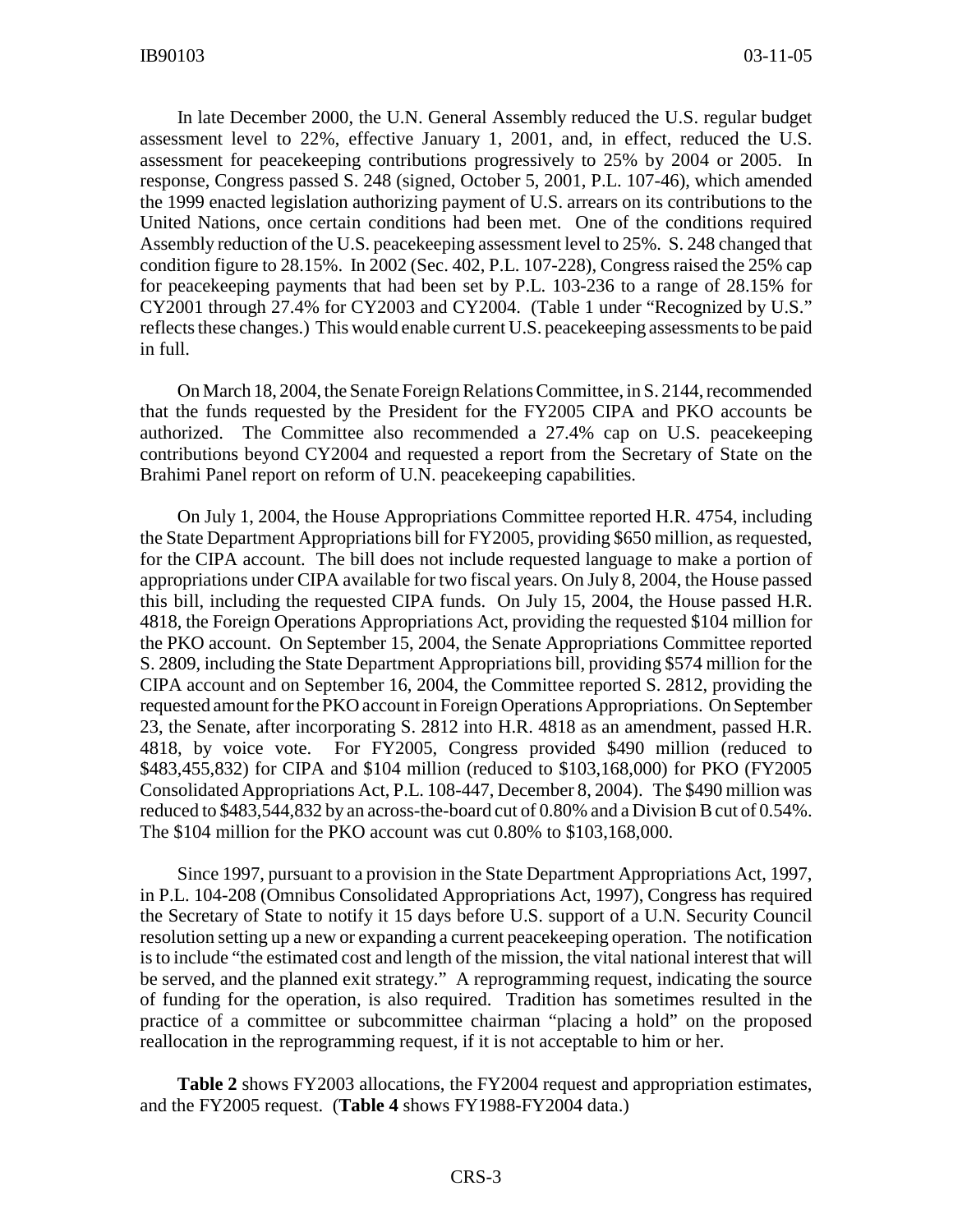In late December 2000, the U.N. General Assembly reduced the U.S. regular budget assessment level to 22%, effective January 1, 2001, and, in effect, reduced the U.S. assessment for peacekeeping contributions progressively to 25% by 2004 or 2005. In response, Congress passed S. 248 (signed, October 5, 2001, P.L. 107-46), which amended the 1999 enacted legislation authorizing payment of U.S. arrears on its contributions to the United Nations, once certain conditions had been met. One of the conditions required Assembly reduction of the U.S. peacekeeping assessment level to 25%. S. 248 changed that condition figure to 28.15%. In 2002 (Sec. 402, P.L. 107-228), Congress raised the 25% cap for peacekeeping payments that had been set by P.L. 103-236 to a range of 28.15% for CY2001 through 27.4% for CY2003 and CY2004. (Table 1 under "Recognized by U.S." reflects these changes.) This would enable current U.S. peacekeeping assessments to be paid in full.

On March 18, 2004, the Senate Foreign Relations Committee, in S. 2144, recommended that the funds requested by the President for the FY2005 CIPA and PKO accounts be authorized. The Committee also recommended a 27.4% cap on U.S. peacekeeping contributions beyond CY2004 and requested a report from the Secretary of State on the Brahimi Panel report on reform of U.N. peacekeeping capabilities.

On July 1, 2004, the House Appropriations Committee reported H.R. 4754, including the State Department Appropriations bill for FY2005, providing \$650 million, as requested, for the CIPA account. The bill does not include requested language to make a portion of appropriations under CIPA available for two fiscal years. On July 8, 2004, the House passed this bill, including the requested CIPA funds. On July 15, 2004, the House passed H.R. 4818, the Foreign Operations Appropriations Act, providing the requested \$104 million for the PKO account. On September 15, 2004, the Senate Appropriations Committee reported S. 2809, including the State Department Appropriations bill, providing \$574 million for the CIPA account and on September 16, 2004, the Committee reported S. 2812, providing the requested amount for the PKO account in Foreign Operations Appropriations. On September 23, the Senate, after incorporating S. 2812 into H.R. 4818 as an amendment, passed H.R. 4818, by voice vote. For FY2005, Congress provided \$490 million (reduced to \$483,455,832) for CIPA and \$104 million (reduced to \$103,168,000) for PKO (FY2005 Consolidated Appropriations Act, P.L. 108-447, December 8, 2004). The \$490 million was reduced to \$483,544,832 by an across-the-board cut of 0.80% and a Division B cut of 0.54%. The \$104 million for the PKO account was cut 0.80% to \$103,168,000.

Since 1997, pursuant to a provision in the State Department Appropriations Act, 1997, in P.L. 104-208 (Omnibus Consolidated Appropriations Act, 1997), Congress has required the Secretary of State to notify it 15 days before U.S. support of a U.N. Security Council resolution setting up a new or expanding a current peacekeeping operation. The notification is to include "the estimated cost and length of the mission, the vital national interest that will be served, and the planned exit strategy." A reprogramming request, indicating the source of funding for the operation, is also required. Tradition has sometimes resulted in the practice of a committee or subcommittee chairman "placing a hold" on the proposed reallocation in the reprogramming request, if it is not acceptable to him or her.

**Table 2** shows FY2003 allocations, the FY2004 request and appropriation estimates, and the FY2005 request. (**Table 4** shows FY1988-FY2004 data.)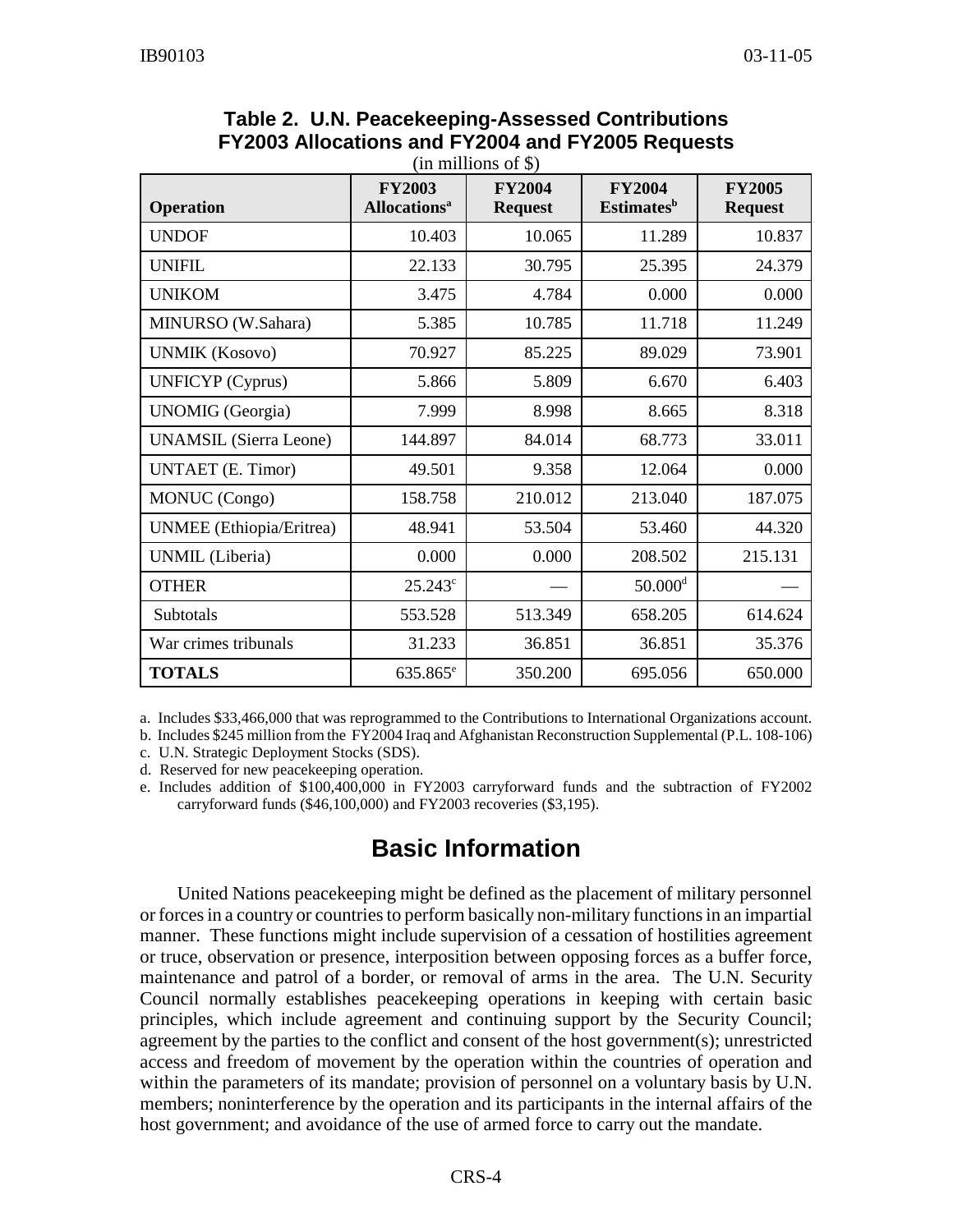| <b>Operation</b>                | <b>FY2003</b><br><b>Allocations</b> <sup>a</sup> | <b>FY2004</b><br><b>Request</b> | <b>FY2004</b><br><b>Estimates</b> <sup>b</sup> | <b>FY2005</b><br><b>Request</b> |
|---------------------------------|--------------------------------------------------|---------------------------------|------------------------------------------------|---------------------------------|
| <b>UNDOF</b>                    | 10.403                                           | 10.065                          | 11.289                                         | 10.837                          |
| <b>UNIFIL</b>                   | 22.133                                           | 30.795                          | 25.395                                         | 24.379                          |
| <b>UNIKOM</b>                   | 3.475                                            | 4.784                           | 0.000                                          | 0.000                           |
| MINURSO (W.Sahara)              | 5.385                                            | 10.785                          | 11.718                                         | 11.249                          |
| <b>UNMIK (Kosovo)</b>           | 70.927                                           | 85.225                          | 89.029                                         | 73.901                          |
| <b>UNFICYP</b> (Cyprus)         | 5.866                                            | 5.809                           | 6.670                                          | 6.403                           |
| <b>UNOMIG</b> (Georgia)         | 7.999                                            | 8.998                           | 8.665                                          | 8.318                           |
| <b>UNAMSIL</b> (Sierra Leone)   | 144.897                                          | 84.014                          | 68.773                                         | 33.011                          |
| <b>UNTAET</b> (E. Timor)        | 49.501                                           | 9.358                           | 12.064                                         | 0.000                           |
| <b>MONUC</b> (Congo)            | 158.758                                          | 210.012                         | 213.040                                        | 187.075                         |
| <b>UNMEE</b> (Ethiopia/Eritrea) | 48.941                                           | 53.504                          | 53.460                                         | 44.320                          |
| UNMIL (Liberia)                 | 0.000                                            | 0.000                           | 208.502                                        | 215.131                         |
| <b>OTHER</b>                    | $25.243^{\circ}$                                 |                                 | $50.000$ <sup>d</sup>                          |                                 |
| Subtotals                       | 553.528                                          | 513.349                         | 658.205                                        | 614.624                         |
| War crimes tribunals            | 31.233                                           | 36.851                          | 36.851                                         | 35.376                          |
| <b>TOTALS</b>                   | 635.865 <sup>e</sup>                             | 350.200                         | 695.056                                        | 650.000                         |

| Table 2. U.N. Peacekeeping-Assessed Contributions |
|---------------------------------------------------|
| FY2003 Allocations and FY2004 and FY2005 Requests |
| $\lim_{n \to \infty} 11$ and of $\mathbb{C}$      |

a. Includes \$33,466,000 that was reprogrammed to the Contributions to International Organizations account.

b. Includes \$245 million from the FY2004 Iraq and Afghanistan Reconstruction Supplemental (P.L. 108-106)

c. U.N. Strategic Deployment Stocks (SDS).

d. Reserved for new peacekeeping operation.

e. Includes addition of \$100,400,000 in FY2003 carryforward funds and the subtraction of FY2002 carryforward funds (\$46,100,000) and FY2003 recoveries (\$3,195).

#### **Basic Information**

United Nations peacekeeping might be defined as the placement of military personnel or forces in a country or countries to perform basically non-military functions in an impartial manner. These functions might include supervision of a cessation of hostilities agreement or truce, observation or presence, interposition between opposing forces as a buffer force, maintenance and patrol of a border, or removal of arms in the area. The U.N. Security Council normally establishes peacekeeping operations in keeping with certain basic principles, which include agreement and continuing support by the Security Council; agreement by the parties to the conflict and consent of the host government(s); unrestricted access and freedom of movement by the operation within the countries of operation and within the parameters of its mandate; provision of personnel on a voluntary basis by U.N. members; noninterference by the operation and its participants in the internal affairs of the host government; and avoidance of the use of armed force to carry out the mandate.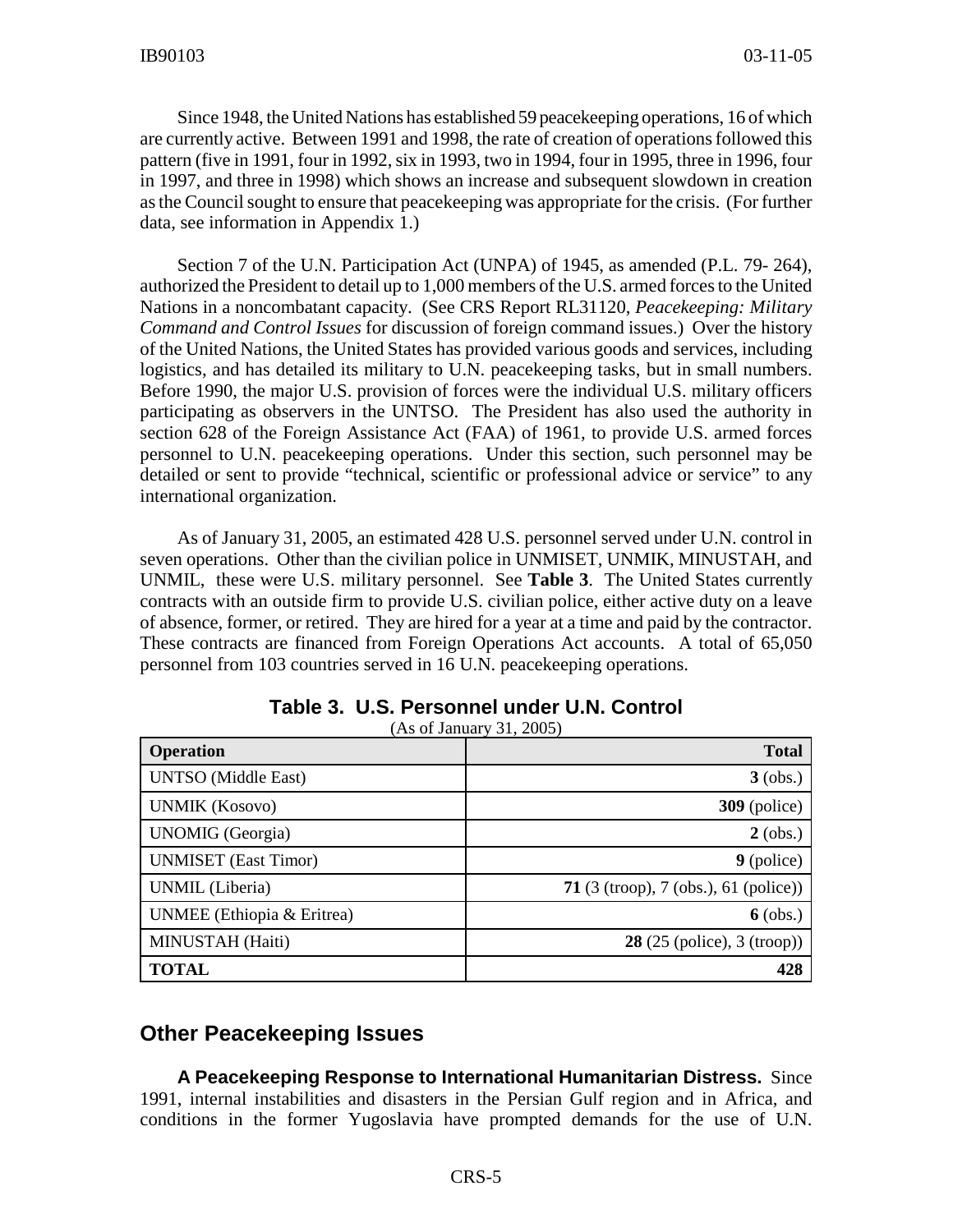Since 1948, the United Nations has established 59 peacekeeping operations, 16 of which are currently active. Between 1991 and 1998, the rate of creation of operations followed this pattern (five in 1991, four in 1992, six in 1993, two in 1994, four in 1995, three in 1996, four in 1997, and three in 1998) which shows an increase and subsequent slowdown in creation as the Council sought to ensure that peacekeeping was appropriate for the crisis. (For further data, see information in Appendix 1.)

Section 7 of the U.N. Participation Act (UNPA) of 1945, as amended (P.L. 79- 264), authorized the President to detail up to 1,000 members of the U.S. armed forces to the United Nations in a noncombatant capacity. (See CRS Report RL31120, *Peacekeeping: Military Command and Control Issues* for discussion of foreign command issues.) Over the history of the United Nations, the United States has provided various goods and services, including logistics, and has detailed its military to U.N. peacekeeping tasks, but in small numbers. Before 1990, the major U.S. provision of forces were the individual U.S. military officers participating as observers in the UNTSO. The President has also used the authority in section 628 of the Foreign Assistance Act (FAA) of 1961, to provide U.S. armed forces personnel to U.N. peacekeeping operations. Under this section, such personnel may be detailed or sent to provide "technical, scientific or professional advice or service" to any international organization.

As of January 31, 2005, an estimated 428 U.S. personnel served under U.N. control in seven operations. Other than the civilian police in UNMISET, UNMIK, MINUSTAH, and UNMIL, these were U.S. military personnel. See **Table 3**. The United States currently contracts with an outside firm to provide U.S. civilian police, either active duty on a leave of absence, former, or retired. They are hired for a year at a time and paid by the contractor. These contracts are financed from Foreign Operations Act accounts. A total of 65,050 personnel from 103 countries served in 16 U.N. peacekeeping operations.

| <b>Operation</b>            | <b>Total</b>                          |
|-----------------------------|---------------------------------------|
| <b>UNTSO</b> (Middle East)  | $3$ (obs.)                            |
| <b>UNMIK (Kosovo)</b>       | $309$ (police)                        |
| <b>UNOMIG</b> (Georgia)     | $2$ (obs.)                            |
| <b>UNMISET</b> (East Timor) | $9$ (police)                          |
| UNMIL (Liberia)             | 71 $(3 (trop), 7 (obs.), 61 (polic))$ |
| UNMEE (Ethiopia & Eritrea)  | $6$ (obs.)                            |
| MINUSTAH (Haiti)            | <b>28</b> (25 (police), 3 (troop))    |
| <b>TOTAL</b>                | 428                                   |

**Table 3. U.S. Personnel under U.N. Control**

 $(A<sub>0</sub> of **I**<sub>0</sub>)$ 

#### **Other Peacekeeping Issues**

**A Peacekeeping Response to International Humanitarian Distress.** Since 1991, internal instabilities and disasters in the Persian Gulf region and in Africa, and conditions in the former Yugoslavia have prompted demands for the use of U.N.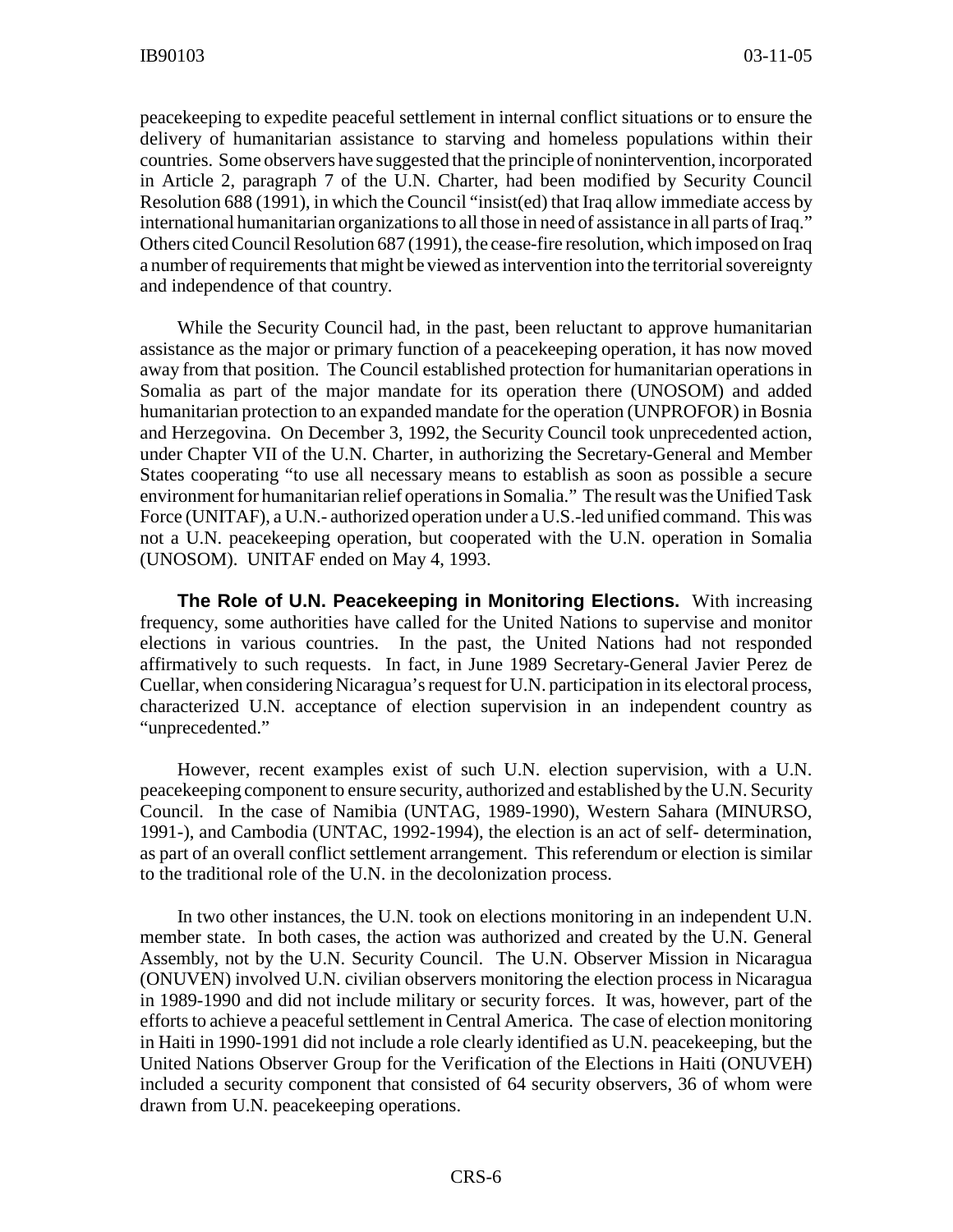peacekeeping to expedite peaceful settlement in internal conflict situations or to ensure the delivery of humanitarian assistance to starving and homeless populations within their countries. Some observers have suggested that the principle of nonintervention, incorporated in Article 2, paragraph 7 of the U.N. Charter, had been modified by Security Council Resolution 688 (1991), in which the Council "insist(ed) that Iraq allow immediate access by international humanitarian organizations to all those in need of assistance in all parts of Iraq." Others cited Council Resolution 687 (1991), the cease-fire resolution, which imposed on Iraq a number of requirements that might be viewed as intervention into the territorial sovereignty and independence of that country.

While the Security Council had, in the past, been reluctant to approve humanitarian assistance as the major or primary function of a peacekeeping operation, it has now moved away from that position. The Council established protection for humanitarian operations in Somalia as part of the major mandate for its operation there (UNOSOM) and added humanitarian protection to an expanded mandate for the operation (UNPROFOR) in Bosnia and Herzegovina. On December 3, 1992, the Security Council took unprecedented action, under Chapter VII of the U.N. Charter, in authorizing the Secretary-General and Member States cooperating "to use all necessary means to establish as soon as possible a secure environment for humanitarian relief operations in Somalia." The result was the Unified Task Force (UNITAF), a U.N.- authorized operation under a U.S.-led unified command. This was not a U.N. peacekeeping operation, but cooperated with the U.N. operation in Somalia (UNOSOM). UNITAF ended on May 4, 1993.

**The Role of U.N. Peacekeeping in Monitoring Elections.** With increasing frequency, some authorities have called for the United Nations to supervise and monitor elections in various countries. In the past, the United Nations had not responded affirmatively to such requests. In fact, in June 1989 Secretary-General Javier Perez de Cuellar, when considering Nicaragua's request for U.N. participation in its electoral process, characterized U.N. acceptance of election supervision in an independent country as "unprecedented."

However, recent examples exist of such U.N. election supervision, with a U.N. peacekeeping component to ensure security, authorized and established by the U.N. Security Council. In the case of Namibia (UNTAG, 1989-1990), Western Sahara (MINURSO, 1991-), and Cambodia (UNTAC, 1992-1994), the election is an act of self- determination, as part of an overall conflict settlement arrangement. This referendum or election is similar to the traditional role of the U.N. in the decolonization process.

In two other instances, the U.N. took on elections monitoring in an independent U.N. member state. In both cases, the action was authorized and created by the U.N. General Assembly, not by the U.N. Security Council. The U.N. Observer Mission in Nicaragua (ONUVEN) involved U.N. civilian observers monitoring the election process in Nicaragua in 1989-1990 and did not include military or security forces. It was, however, part of the efforts to achieve a peaceful settlement in Central America. The case of election monitoring in Haiti in 1990-1991 did not include a role clearly identified as U.N. peacekeeping, but the United Nations Observer Group for the Verification of the Elections in Haiti (ONUVEH) included a security component that consisted of 64 security observers, 36 of whom were drawn from U.N. peacekeeping operations.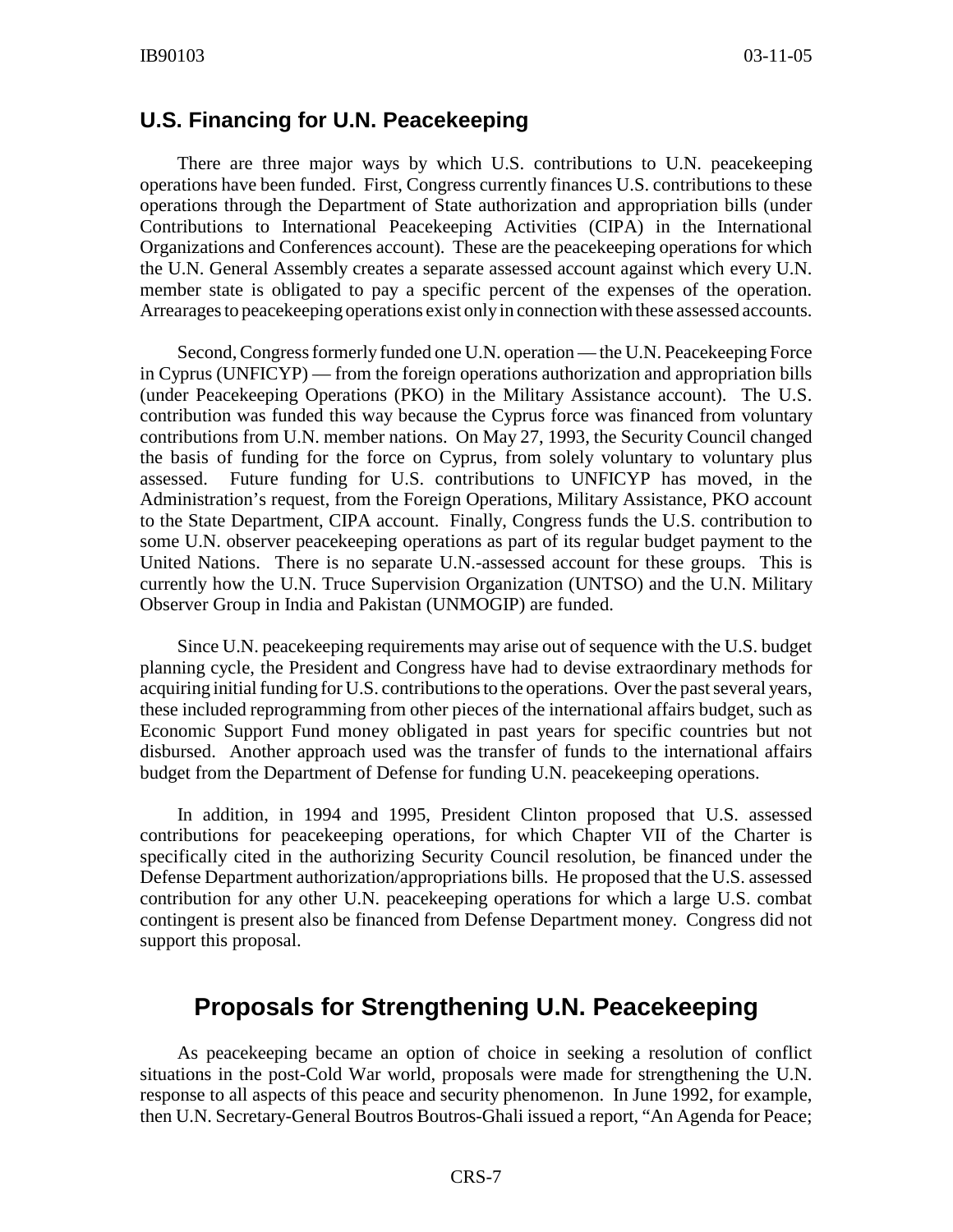#### **U.S. Financing for U.N. Peacekeeping**

There are three major ways by which U.S. contributions to U.N. peacekeeping operations have been funded. First, Congress currently finances U.S. contributions to these operations through the Department of State authorization and appropriation bills (under Contributions to International Peacekeeping Activities (CIPA) in the International Organizations and Conferences account). These are the peacekeeping operations for which the U.N. General Assembly creates a separate assessed account against which every U.N. member state is obligated to pay a specific percent of the expenses of the operation. Arrearages to peacekeeping operations exist only in connection with these assessed accounts.

Second, Congress formerly funded one U.N. operation — the U.N. Peacekeeping Force in Cyprus (UNFICYP) — from the foreign operations authorization and appropriation bills (under Peacekeeping Operations (PKO) in the Military Assistance account). The U.S. contribution was funded this way because the Cyprus force was financed from voluntary contributions from U.N. member nations. On May 27, 1993, the Security Council changed the basis of funding for the force on Cyprus, from solely voluntary to voluntary plus assessed. Future funding for U.S. contributions to UNFICYP has moved, in the Administration's request, from the Foreign Operations, Military Assistance, PKO account to the State Department, CIPA account. Finally, Congress funds the U.S. contribution to some U.N. observer peacekeeping operations as part of its regular budget payment to the United Nations. There is no separate U.N.-assessed account for these groups. This is currently how the U.N. Truce Supervision Organization (UNTSO) and the U.N. Military Observer Group in India and Pakistan (UNMOGIP) are funded.

Since U.N. peacekeeping requirements may arise out of sequence with the U.S. budget planning cycle, the President and Congress have had to devise extraordinary methods for acquiring initial funding for U.S. contributions to the operations. Over the past several years, these included reprogramming from other pieces of the international affairs budget, such as Economic Support Fund money obligated in past years for specific countries but not disbursed. Another approach used was the transfer of funds to the international affairs budget from the Department of Defense for funding U.N. peacekeeping operations.

In addition, in 1994 and 1995, President Clinton proposed that U.S. assessed contributions for peacekeeping operations, for which Chapter VII of the Charter is specifically cited in the authorizing Security Council resolution, be financed under the Defense Department authorization/appropriations bills. He proposed that the U.S. assessed contribution for any other U.N. peacekeeping operations for which a large U.S. combat contingent is present also be financed from Defense Department money. Congress did not support this proposal.

#### **Proposals for Strengthening U.N. Peacekeeping**

As peacekeeping became an option of choice in seeking a resolution of conflict situations in the post-Cold War world, proposals were made for strengthening the U.N. response to all aspects of this peace and security phenomenon. In June 1992, for example, then U.N. Secretary-General Boutros Boutros-Ghali issued a report, "An Agenda for Peace;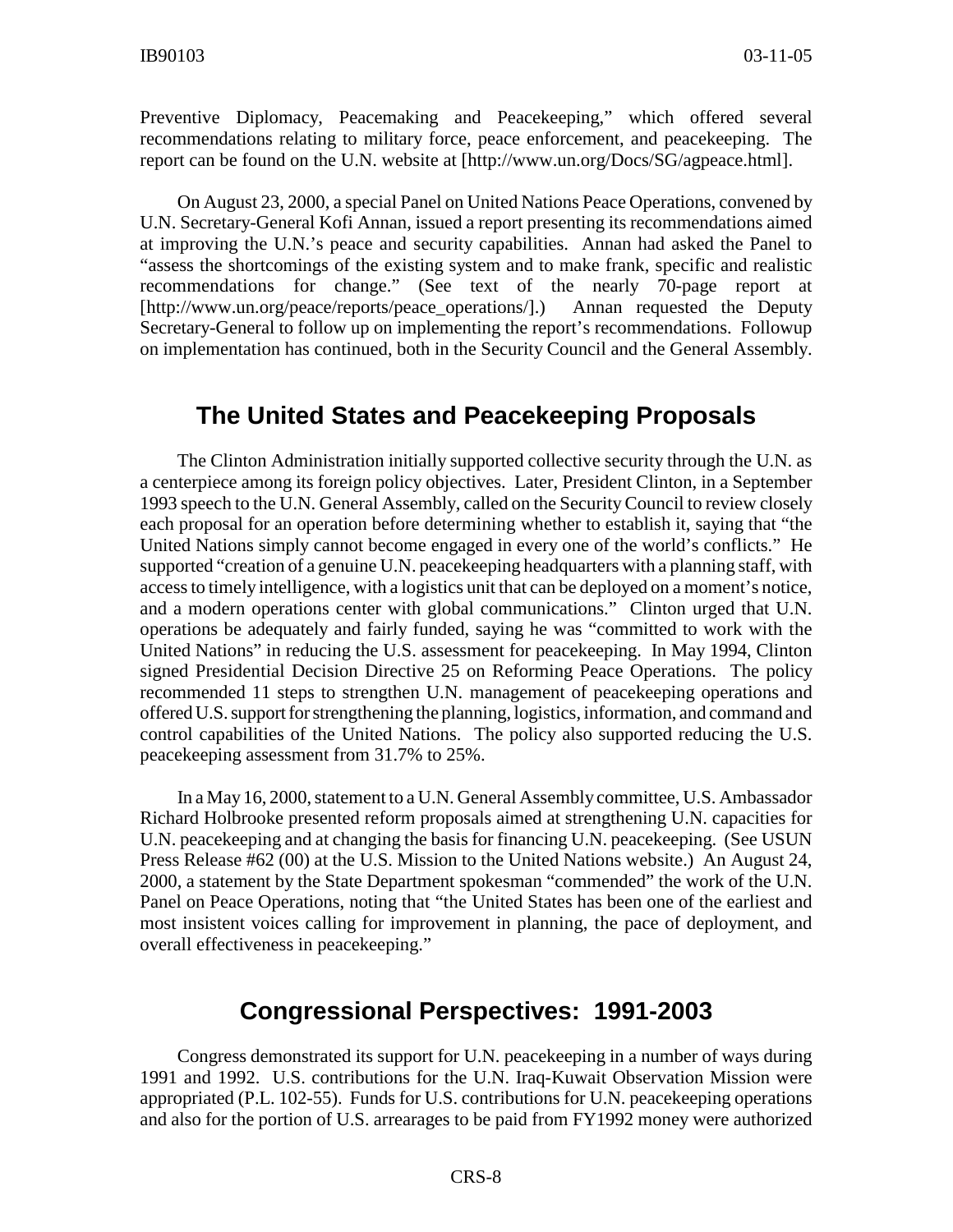Preventive Diplomacy, Peacemaking and Peacekeeping," which offered several recommendations relating to military force, peace enforcement, and peacekeeping. The report can be found on the U.N. website at [http://www.un.org/Docs/SG/agpeace.html].

On August 23, 2000, a special Panel on United Nations Peace Operations, convened by U.N. Secretary-General Kofi Annan, issued a report presenting its recommendations aimed at improving the U.N.'s peace and security capabilities. Annan had asked the Panel to "assess the shortcomings of the existing system and to make frank, specific and realistic recommendations for change." (See text of the nearly 70-page report at [http://www.un.org/peace/reports/peace\_operations/].) Annan requested the Deputy Secretary-General to follow up on implementing the report's recommendations. Followup on implementation has continued, both in the Security Council and the General Assembly.

#### **The United States and Peacekeeping Proposals**

The Clinton Administration initially supported collective security through the U.N. as a centerpiece among its foreign policy objectives. Later, President Clinton, in a September 1993 speech to the U.N. General Assembly, called on the Security Council to review closely each proposal for an operation before determining whether to establish it, saying that "the United Nations simply cannot become engaged in every one of the world's conflicts." He supported "creation of a genuine U.N. peacekeeping headquarters with a planning staff, with access to timely intelligence, with a logistics unit that can be deployed on a moment's notice, and a modern operations center with global communications." Clinton urged that U.N. operations be adequately and fairly funded, saying he was "committed to work with the United Nations" in reducing the U.S. assessment for peacekeeping. In May 1994, Clinton signed Presidential Decision Directive 25 on Reforming Peace Operations. The policy recommended 11 steps to strengthen U.N. management of peacekeeping operations and offered U.S. support for strengthening the planning, logistics, information, and command and control capabilities of the United Nations. The policy also supported reducing the U.S. peacekeeping assessment from 31.7% to 25%.

In a May 16, 2000, statement to a U.N. General Assembly committee, U.S. Ambassador Richard Holbrooke presented reform proposals aimed at strengthening U.N. capacities for U.N. peacekeeping and at changing the basis for financing U.N. peacekeeping. (See USUN Press Release #62 (00) at the U.S. Mission to the United Nations website.) An August 24, 2000, a statement by the State Department spokesman "commended" the work of the U.N. Panel on Peace Operations, noting that "the United States has been one of the earliest and most insistent voices calling for improvement in planning, the pace of deployment, and overall effectiveness in peacekeeping."

#### **Congressional Perspectives: 1991-2003**

Congress demonstrated its support for U.N. peacekeeping in a number of ways during 1991 and 1992. U.S. contributions for the U.N. Iraq-Kuwait Observation Mission were appropriated (P.L. 102-55). Funds for U.S. contributions for U.N. peacekeeping operations and also for the portion of U.S. arrearages to be paid from FY1992 money were authorized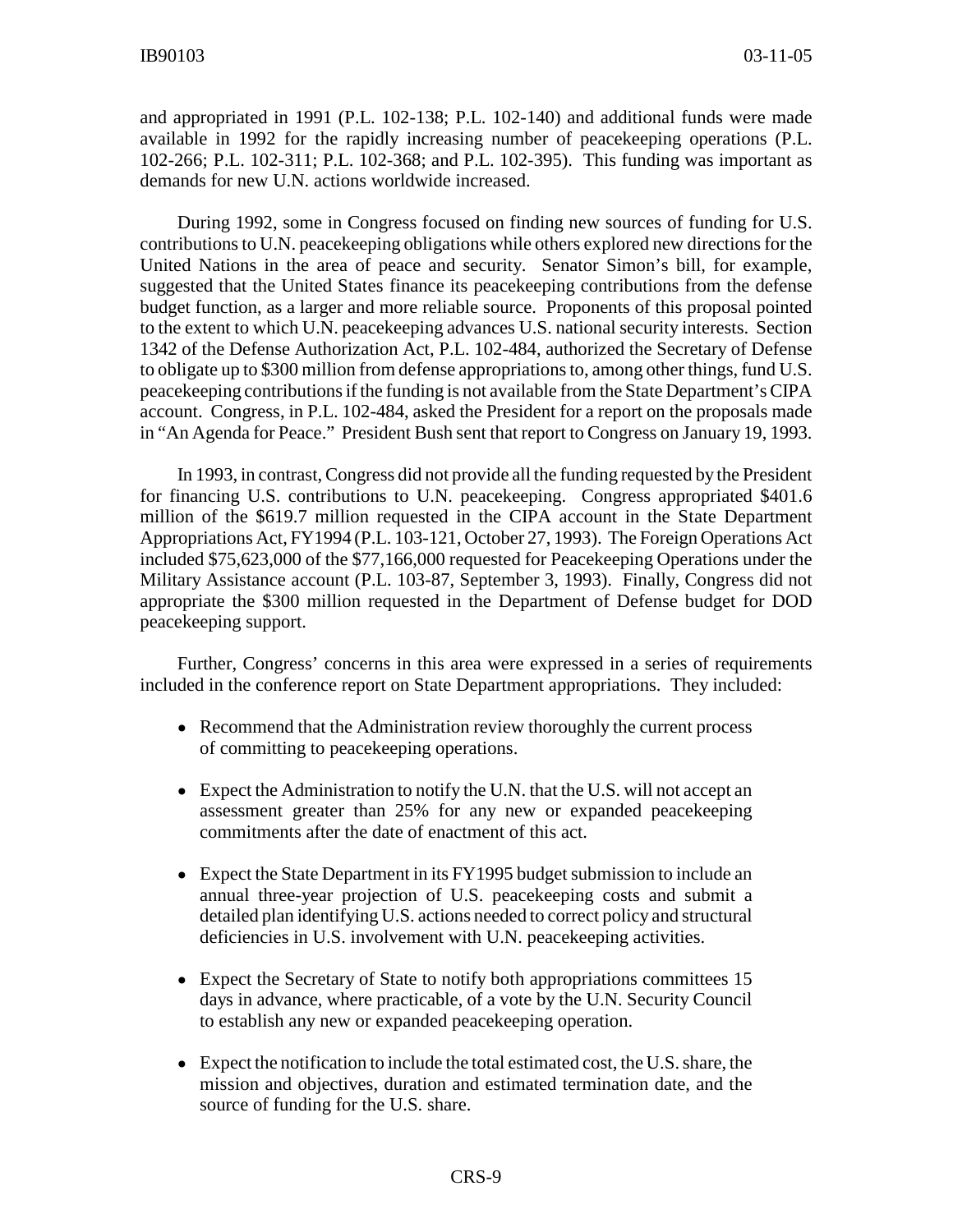and appropriated in 1991 (P.L. 102-138; P.L. 102-140) and additional funds were made available in 1992 for the rapidly increasing number of peacekeeping operations (P.L. 102-266; P.L. 102-311; P.L. 102-368; and P.L. 102-395). This funding was important as demands for new U.N. actions worldwide increased.

During 1992, some in Congress focused on finding new sources of funding for U.S. contributions to U.N. peacekeeping obligations while others explored new directions for the United Nations in the area of peace and security. Senator Simon's bill, for example, suggested that the United States finance its peacekeeping contributions from the defense budget function, as a larger and more reliable source. Proponents of this proposal pointed to the extent to which U.N. peacekeeping advances U.S. national security interests. Section 1342 of the Defense Authorization Act, P.L. 102-484, authorized the Secretary of Defense to obligate up to \$300 million from defense appropriations to, among other things, fund U.S. peacekeeping contributions if the funding is not available from the State Department's CIPA account. Congress, in P.L. 102-484, asked the President for a report on the proposals made in "An Agenda for Peace." President Bush sent that report to Congress on January 19, 1993.

In 1993, in contrast, Congress did not provide all the funding requested by the President for financing U.S. contributions to U.N. peacekeeping. Congress appropriated \$401.6 million of the \$619.7 million requested in the CIPA account in the State Department Appropriations Act, FY1994 (P.L. 103-121, October 27, 1993). The Foreign Operations Act included \$75,623,000 of the \$77,166,000 requested for Peacekeeping Operations under the Military Assistance account (P.L. 103-87, September 3, 1993). Finally, Congress did not appropriate the \$300 million requested in the Department of Defense budget for DOD peacekeeping support.

Further, Congress' concerns in this area were expressed in a series of requirements included in the conference report on State Department appropriations. They included:

- Recommend that the Administration review thoroughly the current process of committing to peacekeeping operations.
- Expect the Administration to notify the U.N. that the U.S. will not accept an assessment greater than 25% for any new or expanded peacekeeping commitments after the date of enactment of this act.
- Expect the State Department in its FY1995 budget submission to include an annual three-year projection of U.S. peacekeeping costs and submit a detailed plan identifying U.S. actions needed to correct policy and structural deficiencies in U.S. involvement with U.N. peacekeeping activities.
- Expect the Secretary of State to notify both appropriations committees 15 days in advance, where practicable, of a vote by the U.N. Security Council to establish any new or expanded peacekeeping operation.
- ! Expect the notification to include the total estimated cost, the U.S. share, the mission and objectives, duration and estimated termination date, and the source of funding for the U.S. share.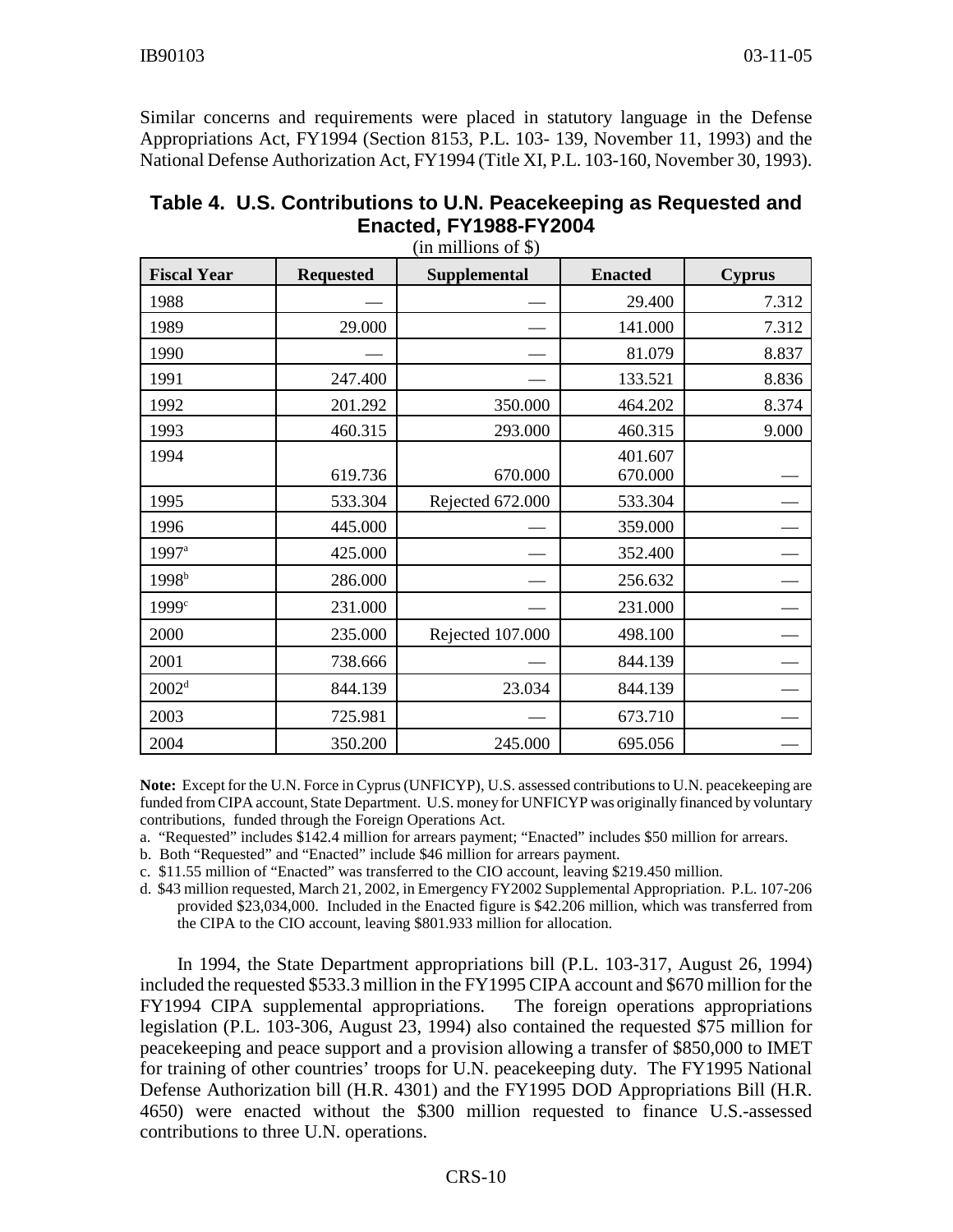Similar concerns and requirements were placed in statutory language in the Defense Appropriations Act, FY1994 (Section 8153, P.L. 103- 139, November 11, 1993) and the National Defense Authorization Act, FY1994 (Title XI, P.L. 103-160, November 30, 1993).

| Table 4. U.S. Contributions to U.N. Peacekeeping as Requested and |
|-------------------------------------------------------------------|
| Enacted, FY1988-FY2004                                            |

(in millions of \$)

| <b>Fiscal Year</b> | <b>Requested</b> | <b>Supplemental</b> | <b>Enacted</b>     | <b>Cyprus</b> |
|--------------------|------------------|---------------------|--------------------|---------------|
| 1988               |                  |                     | 29.400             | 7.312         |
| 1989               | 29.000           |                     | 141.000            | 7.312         |
| 1990               |                  |                     | 81.079             | 8.837         |
| 1991               | 247.400          |                     | 133.521            | 8.836         |
| 1992               | 201.292          | 350.000             | 464.202            | 8.374         |
| 1993               | 460.315          | 293.000             | 460.315            | 9.000         |
| 1994               | 619.736          | 670.000             | 401.607<br>670.000 |               |
| 1995               | 533.304          | Rejected 672.000    | 533.304            |               |
| 1996               | 445.000          |                     | 359.000            |               |
| $1997^a$           | 425.000          |                     | 352.400            |               |
| 1998 <sup>b</sup>  | 286.000          |                     | 256.632            |               |
| 1999c              | 231.000          |                     | 231.000            |               |
| 2000               | 235.000          | Rejected 107.000    | 498.100            |               |
| 2001               | 738.666          |                     | 844.139            |               |
| 2002 <sup>d</sup>  | 844.139          | 23.034              | 844.139            |               |
| 2003               | 725.981          |                     | 673.710            |               |
| 2004               | 350.200          | 245.000             | 695.056            |               |

**Note:** Except for the U.N. Force in Cyprus (UNFICYP), U.S. assessed contributions to U.N. peacekeeping are funded from CIPA account, State Department. U.S. money for UNFICYP was originally financed by voluntary contributions, funded through the Foreign Operations Act.

- a. "Requested" includes \$142.4 million for arrears payment; "Enacted" includes \$50 million for arrears.
- b. Both "Requested" and "Enacted" include \$46 million for arrears payment.
- c. \$11.55 million of "Enacted" was transferred to the CIO account, leaving \$219.450 million.

d. \$43 million requested, March 21, 2002, in Emergency FY2002 Supplemental Appropriation. P.L. 107-206 provided \$23,034,000. Included in the Enacted figure is \$42.206 million, which was transferred from the CIPA to the CIO account, leaving \$801.933 million for allocation.

In 1994, the State Department appropriations bill (P.L. 103-317, August 26, 1994) included the requested \$533.3 million in the FY1995 CIPA account and \$670 million for the FY1994 CIPA supplemental appropriations. The foreign operations appropriations legislation (P.L. 103-306, August 23, 1994) also contained the requested \$75 million for peacekeeping and peace support and a provision allowing a transfer of \$850,000 to IMET for training of other countries' troops for U.N. peacekeeping duty. The FY1995 National Defense Authorization bill (H.R. 4301) and the FY1995 DOD Appropriations Bill (H.R. 4650) were enacted without the \$300 million requested to finance U.S.-assessed contributions to three U.N. operations.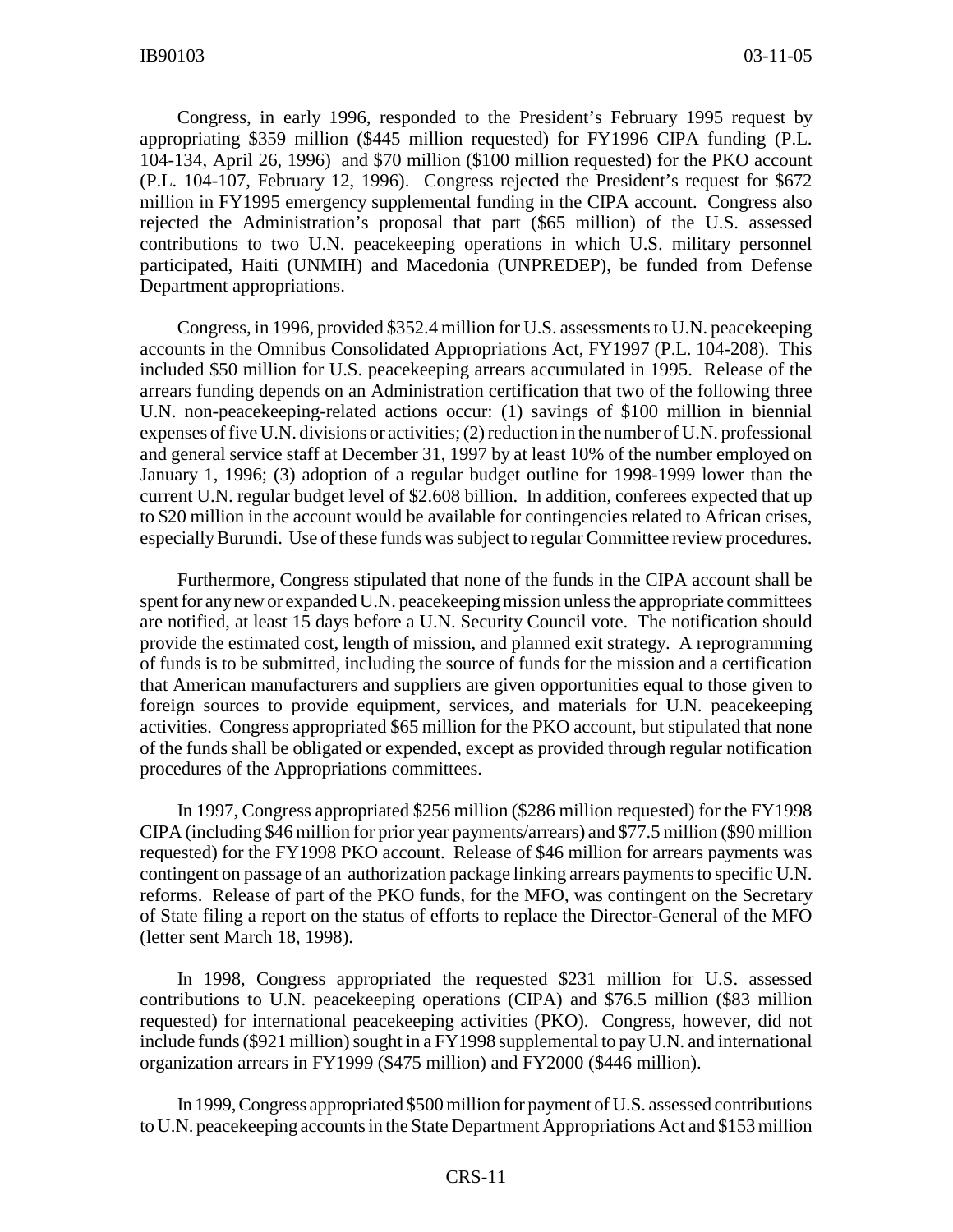Congress, in early 1996, responded to the President's February 1995 request by appropriating \$359 million (\$445 million requested) for FY1996 CIPA funding (P.L. 104-134, April 26, 1996) and \$70 million (\$100 million requested) for the PKO account (P.L. 104-107, February 12, 1996). Congress rejected the President's request for \$672 million in FY1995 emergency supplemental funding in the CIPA account. Congress also rejected the Administration's proposal that part (\$65 million) of the U.S. assessed contributions to two U.N. peacekeeping operations in which U.S. military personnel participated, Haiti (UNMIH) and Macedonia (UNPREDEP), be funded from Defense Department appropriations.

Congress, in 1996, provided \$352.4 million for U.S. assessments to U.N. peacekeeping accounts in the Omnibus Consolidated Appropriations Act, FY1997 (P.L. 104-208). This included \$50 million for U.S. peacekeeping arrears accumulated in 1995. Release of the arrears funding depends on an Administration certification that two of the following three U.N. non-peacekeeping-related actions occur: (1) savings of \$100 million in biennial expenses of five U.N. divisions or activities; (2) reduction in the number of U.N. professional and general service staff at December 31, 1997 by at least 10% of the number employed on January 1, 1996; (3) adoption of a regular budget outline for 1998-1999 lower than the current U.N. regular budget level of \$2.608 billion. In addition, conferees expected that up to \$20 million in the account would be available for contingencies related to African crises, especially Burundi. Use of these funds was subject to regular Committee review procedures.

Furthermore, Congress stipulated that none of the funds in the CIPA account shall be spent for any new or expanded U.N. peacekeeping mission unless the appropriate committees are notified, at least 15 days before a U.N. Security Council vote. The notification should provide the estimated cost, length of mission, and planned exit strategy. A reprogramming of funds is to be submitted, including the source of funds for the mission and a certification that American manufacturers and suppliers are given opportunities equal to those given to foreign sources to provide equipment, services, and materials for U.N. peacekeeping activities. Congress appropriated \$65 million for the PKO account, but stipulated that none of the funds shall be obligated or expended, except as provided through regular notification procedures of the Appropriations committees.

In 1997, Congress appropriated \$256 million (\$286 million requested) for the FY1998 CIPA (including \$46 million for prior year payments/arrears) and \$77.5 million (\$90 million requested) for the FY1998 PKO account. Release of \$46 million for arrears payments was contingent on passage of an authorization package linking arrears payments to specific U.N. reforms. Release of part of the PKO funds, for the MFO, was contingent on the Secretary of State filing a report on the status of efforts to replace the Director-General of the MFO (letter sent March 18, 1998).

In 1998, Congress appropriated the requested \$231 million for U.S. assessed contributions to U.N. peacekeeping operations (CIPA) and \$76.5 million (\$83 million requested) for international peacekeeping activities (PKO). Congress, however, did not include funds (\$921 million) sought in a FY1998 supplemental to pay U.N. and international organization arrears in FY1999 (\$475 million) and FY2000 (\$446 million).

In 1999, Congress appropriated \$500 million for payment of U.S. assessed contributions to U.N. peacekeeping accounts in the State Department Appropriations Act and \$153 million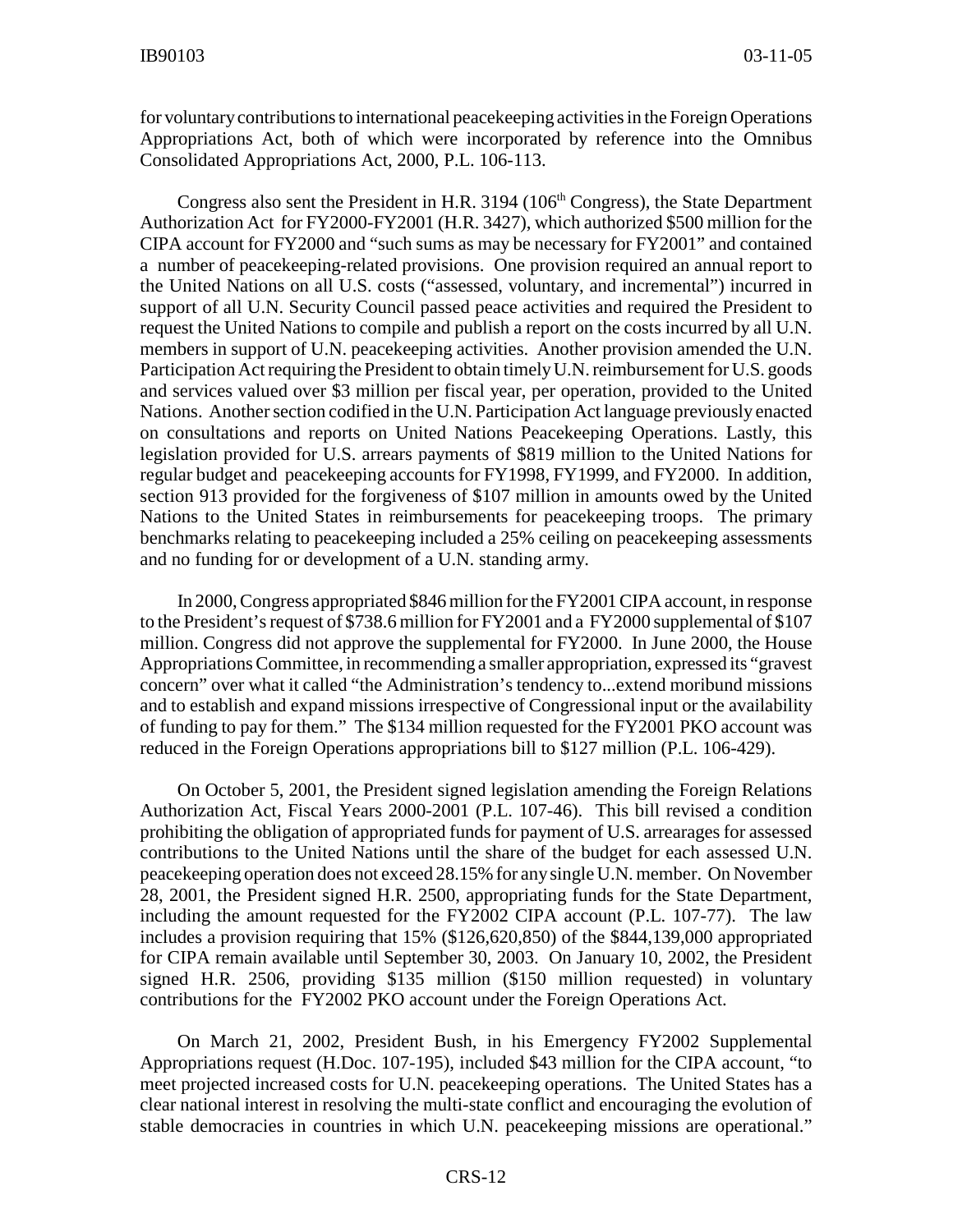for voluntary contributions to international peacekeeping activities in the Foreign Operations Appropriations Act, both of which were incorporated by reference into the Omnibus Consolidated Appropriations Act, 2000, P.L. 106-113.

Congress also sent the President in H.R.  $3194$  ( $106<sup>th</sup>$  Congress), the State Department Authorization Act for FY2000-FY2001 (H.R. 3427), which authorized \$500 million for the CIPA account for FY2000 and "such sums as may be necessary for FY2001" and contained a number of peacekeeping-related provisions. One provision required an annual report to the United Nations on all U.S. costs ("assessed, voluntary, and incremental") incurred in support of all U.N. Security Council passed peace activities and required the President to request the United Nations to compile and publish a report on the costs incurred by all U.N. members in support of U.N. peacekeeping activities. Another provision amended the U.N. Participation Act requiring the President to obtain timely U.N. reimbursement for U.S. goods and services valued over \$3 million per fiscal year, per operation, provided to the United Nations. Another section codified in the U.N. Participation Act language previously enacted on consultations and reports on United Nations Peacekeeping Operations. Lastly, this legislation provided for U.S. arrears payments of \$819 million to the United Nations for regular budget and peacekeeping accounts for FY1998, FY1999, and FY2000. In addition, section 913 provided for the forgiveness of \$107 million in amounts owed by the United Nations to the United States in reimbursements for peacekeeping troops. The primary benchmarks relating to peacekeeping included a 25% ceiling on peacekeeping assessments and no funding for or development of a U.N. standing army.

In 2000, Congress appropriated \$846 million for the FY2001 CIPA account, in response to the President's request of \$738.6 million for FY2001 and a FY2000 supplemental of \$107 million. Congress did not approve the supplemental for FY2000. In June 2000, the House Appropriations Committee, in recommending a smaller appropriation, expressed its "gravest concern" over what it called "the Administration's tendency to...extend moribund missions and to establish and expand missions irrespective of Congressional input or the availability of funding to pay for them." The \$134 million requested for the FY2001 PKO account was reduced in the Foreign Operations appropriations bill to \$127 million (P.L. 106-429).

On October 5, 2001, the President signed legislation amending the Foreign Relations Authorization Act, Fiscal Years 2000-2001 (P.L. 107-46). This bill revised a condition prohibiting the obligation of appropriated funds for payment of U.S. arrearages for assessed contributions to the United Nations until the share of the budget for each assessed U.N. peacekeeping operation does not exceed 28.15% for any single U.N. member. On November 28, 2001, the President signed H.R. 2500, appropriating funds for the State Department, including the amount requested for the FY2002 CIPA account (P.L. 107-77). The law includes a provision requiring that 15% (\$126,620,850) of the \$844,139,000 appropriated for CIPA remain available until September 30, 2003. On January 10, 2002, the President signed H.R. 2506, providing \$135 million (\$150 million requested) in voluntary contributions for the FY2002 PKO account under the Foreign Operations Act.

On March 21, 2002, President Bush, in his Emergency FY2002 Supplemental Appropriations request (H.Doc. 107-195), included \$43 million for the CIPA account, "to meet projected increased costs for U.N. peacekeeping operations. The United States has a clear national interest in resolving the multi-state conflict and encouraging the evolution of stable democracies in countries in which U.N. peacekeeping missions are operational."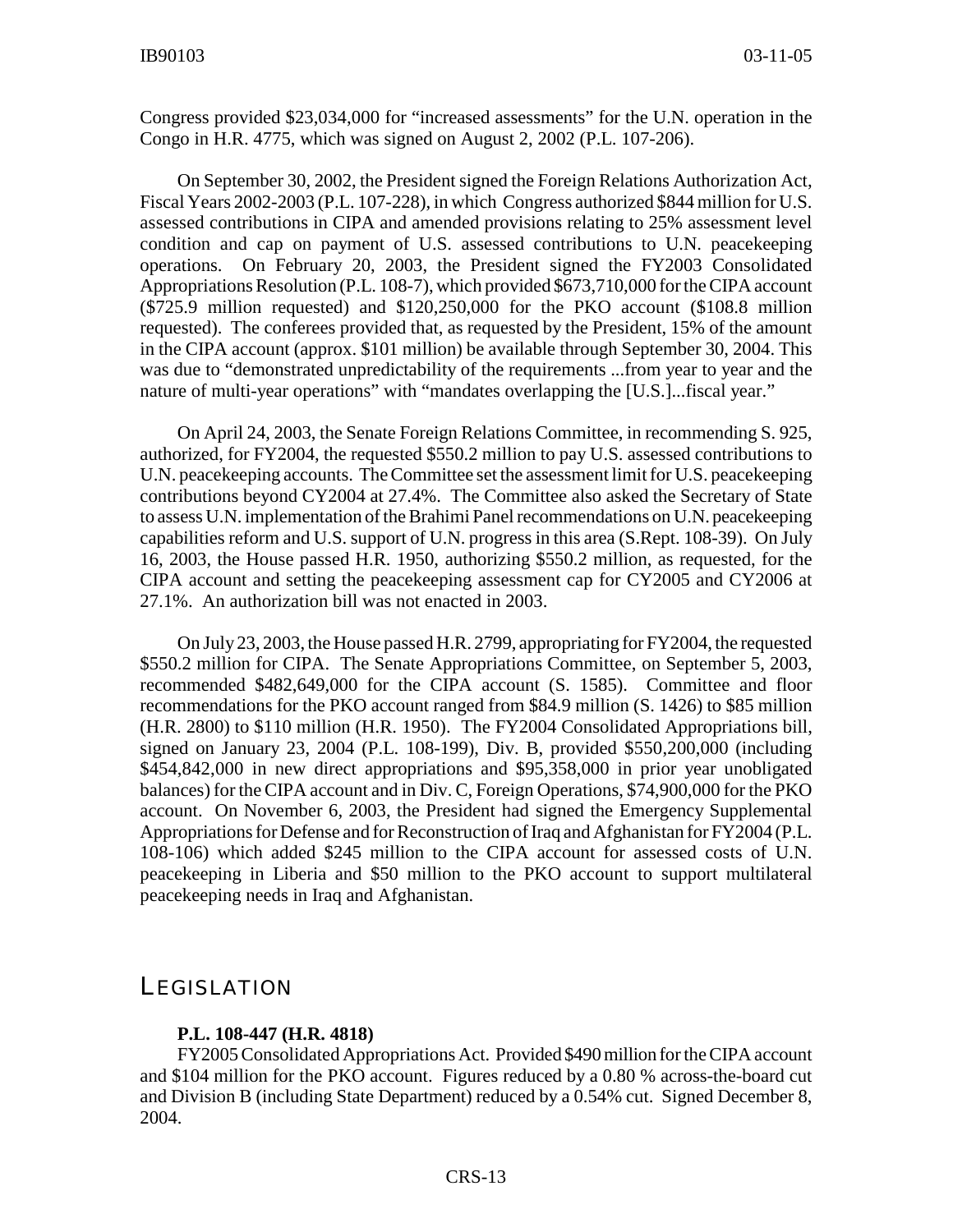Congress provided \$23,034,000 for "increased assessments" for the U.N. operation in the Congo in H.R. 4775, which was signed on August 2, 2002 (P.L. 107-206).

On September 30, 2002, the President signed the Foreign Relations Authorization Act, Fiscal Years 2002-2003 (P.L. 107-228), in which Congress authorized \$844 million for U.S. assessed contributions in CIPA and amended provisions relating to 25% assessment level condition and cap on payment of U.S. assessed contributions to U.N. peacekeeping operations. On February 20, 2003, the President signed the FY2003 Consolidated Appropriations Resolution (P.L. 108-7), which provided \$673,710,000 for the CIPA account (\$725.9 million requested) and \$120,250,000 for the PKO account (\$108.8 million requested). The conferees provided that, as requested by the President, 15% of the amount in the CIPA account (approx. \$101 million) be available through September 30, 2004. This was due to "demonstrated unpredictability of the requirements ...from year to year and the nature of multi-year operations" with "mandates overlapping the [U.S.]...fiscal year."

On April 24, 2003, the Senate Foreign Relations Committee, in recommending S. 925, authorized, for FY2004, the requested \$550.2 million to pay U.S. assessed contributions to U.N. peacekeeping accounts. The Committee set the assessment limit for U.S. peacekeeping contributions beyond CY2004 at 27.4%. The Committee also asked the Secretary of State to assess U.N. implementation of the Brahimi Panel recommendations on U.N. peacekeeping capabilities reform and U.S. support of U.N. progress in this area (S.Rept. 108-39). On July 16, 2003, the House passed H.R. 1950, authorizing \$550.2 million, as requested, for the CIPA account and setting the peacekeeping assessment cap for CY2005 and CY2006 at 27.1%. An authorization bill was not enacted in 2003.

On July 23, 2003, the House passed H.R. 2799, appropriating for FY2004, the requested \$550.2 million for CIPA. The Senate Appropriations Committee, on September 5, 2003, recommended \$482,649,000 for the CIPA account (S. 1585). Committee and floor recommendations for the PKO account ranged from \$84.9 million (S. 1426) to \$85 million (H.R. 2800) to \$110 million (H.R. 1950). The FY2004 Consolidated Appropriations bill, signed on January 23, 2004 (P.L. 108-199), Div. B, provided \$550,200,000 (including \$454,842,000 in new direct appropriations and \$95,358,000 in prior year unobligated balances) for the CIPA account and in Div. C, Foreign Operations, \$74,900,000 for the PKO account. On November 6, 2003, the President had signed the Emergency Supplemental Appropriations for Defense and for Reconstruction of Iraq and Afghanistan for FY2004 (P.L. 108-106) which added \$245 million to the CIPA account for assessed costs of U.N. peacekeeping in Liberia and \$50 million to the PKO account to support multilateral peacekeeping needs in Iraq and Afghanistan.

#### **LEGISLATION**

#### **P.L. 108-447 (H.R. 4818)**

FY2005 Consolidated Appropriations Act. Provided \$490 million for the CIPA account and \$104 million for the PKO account. Figures reduced by a 0.80 % across-the-board cut and Division B (including State Department) reduced by a 0.54% cut. Signed December 8, 2004.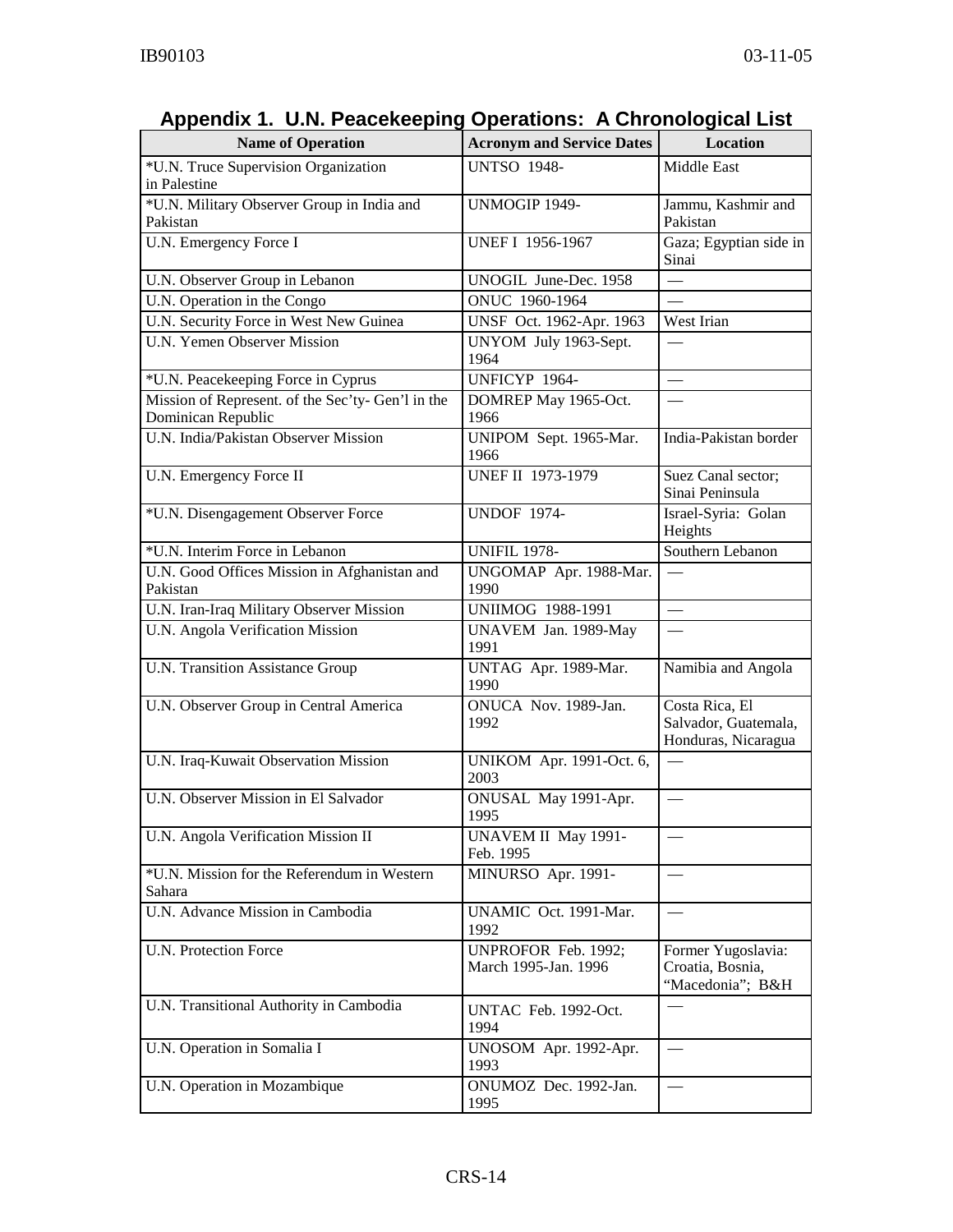| <b>Name of Operation</b>                                                | <b>Acronym and Service Dates</b>            | Location                                                      |  |
|-------------------------------------------------------------------------|---------------------------------------------|---------------------------------------------------------------|--|
| *U.N. Truce Supervision Organization<br>in Palestine                    | <b>UNTSO 1948-</b>                          | Middle East                                                   |  |
| *U.N. Military Observer Group in India and<br>Pakistan                  | UNMOGIP 1949-                               | Jammu, Kashmir and<br>Pakistan                                |  |
| U.N. Emergency Force I                                                  | <b>UNEF I 1956-1967</b>                     | Gaza; Egyptian side in<br>Sinai                               |  |
| U.N. Observer Group in Lebanon                                          | UNOGIL June-Dec. 1958                       |                                                               |  |
| U.N. Operation in the Congo                                             | ONUC 1960-1964                              | $\overline{\phantom{0}}$                                      |  |
| U.N. Security Force in West New Guinea                                  | UNSF Oct. 1962-Apr. 1963                    | West Irian                                                    |  |
| <b>U.N. Yemen Observer Mission</b>                                      | UNYOM July 1963-Sept.<br>1964               | $\overline{\phantom{0}}$                                      |  |
| *U.N. Peacekeeping Force in Cyprus                                      | UNFICYP 1964-                               |                                                               |  |
| Mission of Represent. of the Sec'ty- Gen'l in the<br>Dominican Republic | DOMREP May 1965-Oct.<br>1966                | $\overline{\phantom{0}}$                                      |  |
| U.N. India/Pakistan Observer Mission                                    | UNIPOM Sept. 1965-Mar.<br>1966              | India-Pakistan border                                         |  |
| U.N. Emergency Force II                                                 | <b>UNEF II 1973-1979</b>                    | Suez Canal sector;<br>Sinai Peninsula                         |  |
| *U.N. Disengagement Observer Force                                      | <b>UNDOF 1974-</b>                          | Israel-Syria: Golan<br>Heights                                |  |
| *U.N. Interim Force in Lebanon                                          | <b>UNIFIL 1978-</b>                         | Southern Lebanon                                              |  |
| U.N. Good Offices Mission in Afghanistan and<br>Pakistan                | UNGOMAP Apr. 1988-Mar.<br>1990              |                                                               |  |
| U.N. Iran-Iraq Military Observer Mission                                | <b>UNIIMOG 1988-1991</b>                    |                                                               |  |
| U.N. Angola Verification Mission                                        | UNAVEM Jan. 1989-May<br>1991                |                                                               |  |
| U.N. Transition Assistance Group                                        | UNTAG Apr. 1989-Mar.<br>1990                | Namibia and Angola                                            |  |
| U.N. Observer Group in Central America                                  | ONUCA Nov. 1989-Jan.<br>1992                | Costa Rica, El<br>Salvador, Guatemala,<br>Honduras, Nicaragua |  |
| U.N. Iraq-Kuwait Observation Mission                                    | UNIKOM Apr. 1991-Oct. 6,<br>2003            |                                                               |  |
| U.N. Observer Mission in El Salvador                                    | ONUSAL May 1991-Apr.<br>1995                | $\overline{\phantom{0}}$                                      |  |
| U.N. Angola Verification Mission II                                     | UNAVEM II May 1991-<br>Feb. 1995            |                                                               |  |
| *U.N. Mission for the Referendum in Western<br>Sahara                   | MINURSO Apr. 1991-                          |                                                               |  |
| U.N. Advance Mission in Cambodia                                        | UNAMIC Oct. 1991-Mar.<br>1992               |                                                               |  |
| <b>U.N. Protection Force</b>                                            | UNPROFOR Feb. 1992;<br>March 1995-Jan. 1996 | Former Yugoslavia:<br>Croatia, Bosnia,<br>"Macedonia"; B&H    |  |
| U.N. Transitional Authority in Cambodia                                 | UNTAC Feb. 1992-Oct.<br>1994                |                                                               |  |
| U.N. Operation in Somalia I                                             | UNOSOM Apr. 1992-Apr.<br>1993               |                                                               |  |
| U.N. Operation in Mozambique                                            | ONUMOZ Dec. 1992-Jan.<br>1995               | $\overline{\phantom{0}}$                                      |  |

## **Appendix 1. U.N. Peacekeeping Operations: A Chronological List**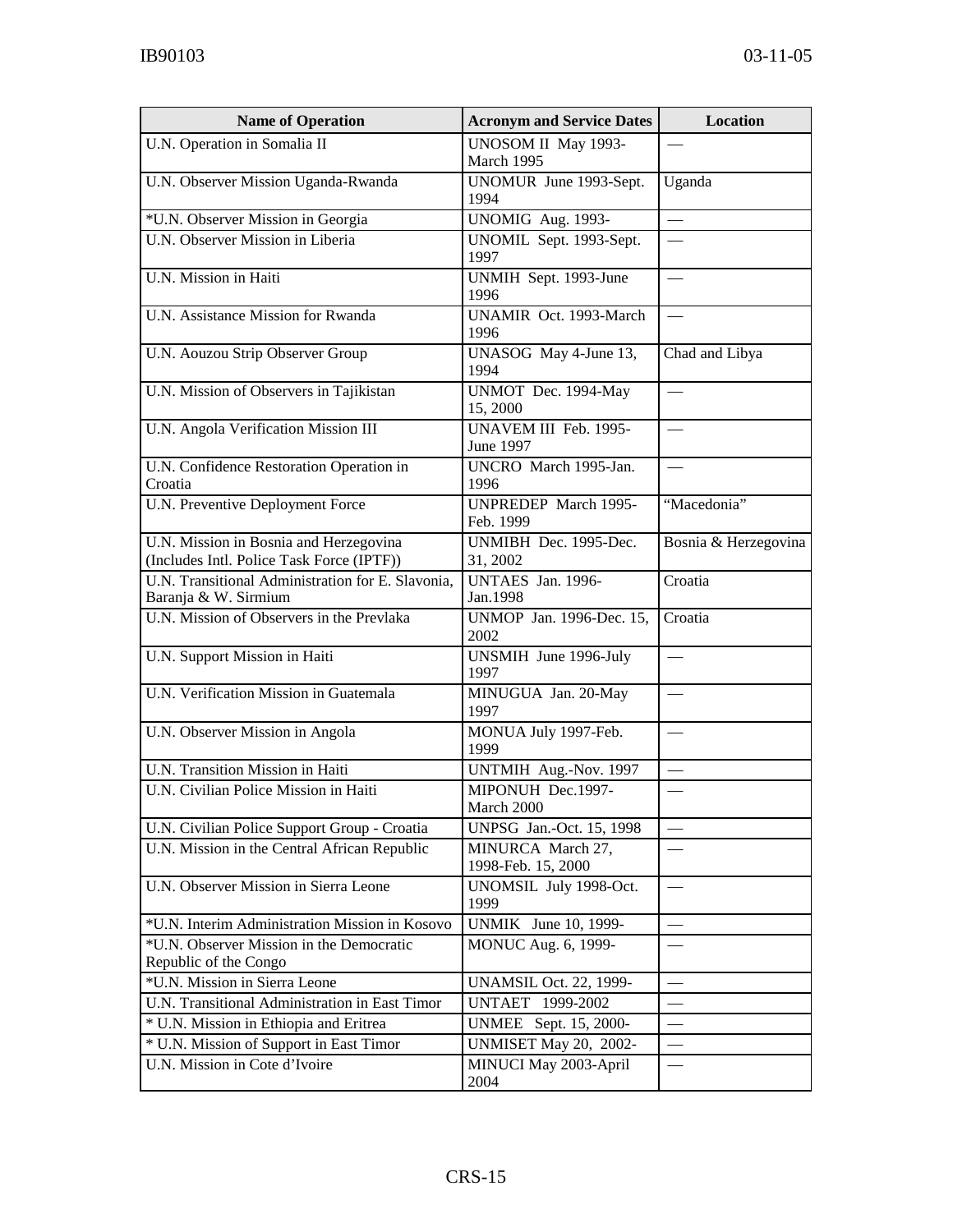| <b>Name of Operation</b>                                                            | <b>Acronym and Service Dates</b>         | Location                 |
|-------------------------------------------------------------------------------------|------------------------------------------|--------------------------|
| U.N. Operation in Somalia II                                                        | UNOSOM II May 1993-<br>March 1995        |                          |
| U.N. Observer Mission Uganda-Rwanda                                                 | UNOMUR June 1993-Sept.<br>1994           | Uganda                   |
| *U.N. Observer Mission in Georgia                                                   | UNOMIG Aug. 1993-                        | $\overline{\phantom{0}}$ |
| U.N. Observer Mission in Liberia                                                    | UNOMIL Sept. 1993-Sept.<br>1997          |                          |
| U.N. Mission in Haiti                                                               | UNMIH Sept. 1993-June<br>1996            |                          |
| U.N. Assistance Mission for Rwanda                                                  | <b>UNAMIR Oct. 1993-March</b><br>1996    |                          |
| U.N. Aouzou Strip Observer Group                                                    | UNASOG May 4-June 13,<br>1994            | Chad and Libya           |
| U.N. Mission of Observers in Tajikistan                                             | UNMOT Dec. 1994-May<br>15,2000           |                          |
| U.N. Angola Verification Mission III                                                | UNAVEM III Feb. 1995-<br>June 1997       |                          |
| U.N. Confidence Restoration Operation in<br>Croatia                                 | UNCRO March 1995-Jan.<br>1996            |                          |
| U.N. Preventive Deployment Force                                                    | <b>UNPREDEP</b> March 1995-<br>Feb. 1999 | "Macedonia"              |
| U.N. Mission in Bosnia and Herzegovina<br>(Includes Intl. Police Task Force (IPTF)) | UNMIBH Dec. 1995-Dec.<br>31, 2002        | Bosnia & Herzegovina     |
| U.N. Transitional Administration for E. Slavonia,<br>Baranja & W. Sirmium           | UNTAES Jan. 1996-<br>Jan.1998            | Croatia                  |
| U.N. Mission of Observers in the Prevlaka                                           | UNMOP Jan. 1996-Dec. 15,<br>2002         | Croatia                  |
| U.N. Support Mission in Haiti                                                       | UNSMIH June 1996-July<br>1997            |                          |
| U.N. Verification Mission in Guatemala                                              | MINUGUA Jan. 20-May<br>1997              |                          |
| U.N. Observer Mission in Angola                                                     | MONUA July 1997-Feb.<br>1999             |                          |
| U.N. Transition Mission in Haiti                                                    | UNTMIH Aug.-Nov. 1997                    |                          |
| U.N. Civilian Police Mission in Haiti                                               | MIPONUH Dec.1997-<br>March 2000          |                          |
| U.N. Civilian Police Support Group - Croatia                                        | UNPSG Jan.-Oct. 15, 1998                 |                          |
| U.N. Mission in the Central African Republic                                        | MINURCA March 27,<br>1998-Feb. 15, 2000  |                          |
| U.N. Observer Mission in Sierra Leone                                               | UNOMSIL July 1998-Oct.<br>1999           |                          |
| *U.N. Interim Administration Mission in Kosovo                                      | UNMIK June 10, 1999-                     |                          |
| *U.N. Observer Mission in the Democratic<br>Republic of the Congo                   | MONUC Aug. 6, 1999-                      |                          |
| *U.N. Mission in Sierra Leone                                                       | <b>UNAMSIL Oct. 22, 1999-</b>            |                          |
| U.N. Transitional Administration in East Timor                                      | UNTAET 1999-2002                         |                          |
| * U.N. Mission in Ethiopia and Eritrea                                              | UNMEE Sept. 15, 2000-                    |                          |
| * U.N. Mission of Support in East Timor                                             | UNMISET May 20, 2002-                    |                          |
| U.N. Mission in Cote d'Ivoire                                                       | MINUCI May 2003-April<br>2004            |                          |